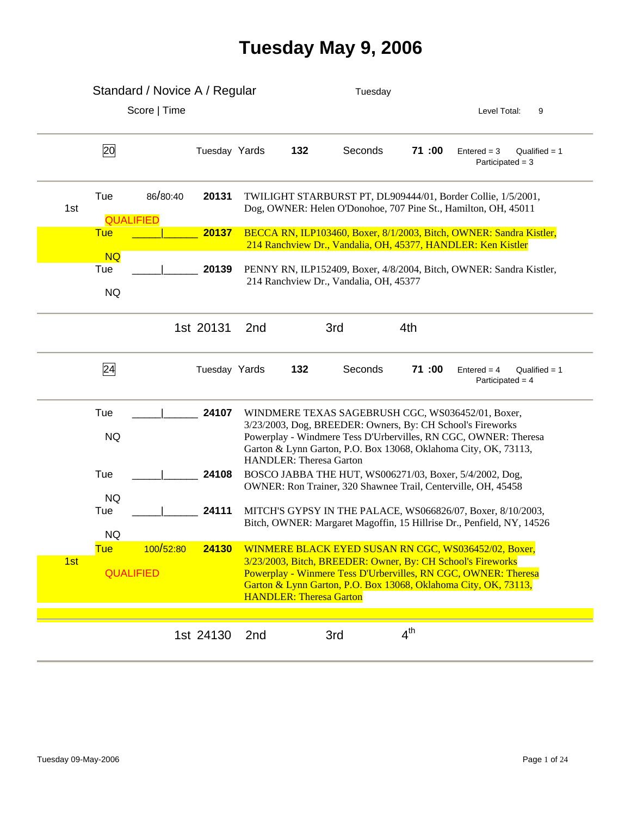## **Tuesday May 9, 2006**

|     |                               | Standard / Novice A / Regular |               |     |                                | Tuesday                                |                 |        |                                                                                                                                                                                                                                                       |
|-----|-------------------------------|-------------------------------|---------------|-----|--------------------------------|----------------------------------------|-----------------|--------|-------------------------------------------------------------------------------------------------------------------------------------------------------------------------------------------------------------------------------------------------------|
|     |                               | Score   Time                  |               |     |                                |                                        |                 |        | Level Total:<br>9                                                                                                                                                                                                                                     |
|     | 20                            |                               | Tuesday Yards |     | 132                            | Seconds                                |                 | 71:00  | $Entered = 3$<br>Qualified = $1$<br>Participated = $3$                                                                                                                                                                                                |
| 1st | Tue<br><b>QUALIFIED</b>       | 86/80:40                      | 20131         |     |                                |                                        |                 |        | TWILIGHT STARBURST PT, DL909444/01, Border Collie, 1/5/2001,<br>Dog, OWNER: Helen O'Donohoe, 707 Pine St., Hamilton, OH, 45011                                                                                                                        |
|     | <b>Tue</b>                    |                               | 20137         |     |                                |                                        |                 |        | BECCA RN, ILP103460, Boxer, 8/1/2003, Bitch, OWNER: Sandra Kistler,                                                                                                                                                                                   |
|     | <b>NQ</b><br>Tue<br><b>NQ</b> |                               | 20139         |     |                                | 214 Ranchview Dr., Vandalia, OH, 45377 |                 |        | 214 Ranchview Dr., Vandalia, OH, 45377, HANDLER: Ken Kistler<br>PENNY RN, ILP152409, Boxer, 4/8/2004, Bitch, OWNER: Sandra Kistler,                                                                                                                   |
|     |                               |                               | 1st 20131     | 2nd |                                | 3rd                                    | 4th             |        |                                                                                                                                                                                                                                                       |
|     | 24                            |                               | Tuesday Yards |     | 132                            | Seconds                                |                 | 71 :00 | $Entered = 4$<br>Qualified $= 1$<br>Participated = 4                                                                                                                                                                                                  |
|     | Tue<br><b>NQ</b>              |                               | 24107         |     | <b>HANDLER: Theresa Garton</b> |                                        |                 |        | WINDMERE TEXAS SAGEBRUSH CGC, WS036452/01, Boxer,<br>3/23/2003, Dog, BREEDER: Owners, By: CH School's Fireworks<br>Powerplay - Windmere Tess D'Urbervilles, RN CGC, OWNER: Theresa<br>Garton & Lynn Garton, P.O. Box 13068, Oklahoma City, OK, 73113, |
|     | Tue                           |                               | 24108         |     |                                |                                        |                 |        | BOSCO JABBA THE HUT, WS006271/03, Boxer, 5/4/2002, Dog,<br>OWNER: Ron Trainer, 320 Shawnee Trail, Centerville, OH, 45458                                                                                                                              |
|     | <b>NQ</b><br>Tue<br><b>NQ</b> |                               | 24111         |     |                                |                                        |                 |        | MITCH'S GYPSY IN THE PALACE, WS066826/07, Boxer, 8/10/2003,<br>Bitch, OWNER: Margaret Magoffin, 15 Hillrise Dr., Penfield, NY, 14526                                                                                                                  |
|     | <u>Tue</u>                    | 100/52:80                     | 24130         |     |                                |                                        |                 |        | WINMERE BLACK EYED SUSAN RN CGC, WS036452/02, Boxer,                                                                                                                                                                                                  |
| 1st | <b>QUALIFIED</b>              |                               |               |     | <b>HANDLER: Theresa Garton</b> |                                        |                 |        | 3/23/2003, Bitch, BREEDER: Owner, By: CH School's Fireworks<br>Powerplay - Winmere Tess D'Urbervilles, RN CGC, OWNER: Theresa<br>Garton & Lynn Garton, P.O. Box 13068, Oklahoma City, OK, 73113,                                                      |
|     |                               |                               | 1st 24130     | 2nd |                                | 3rd                                    | 4 <sup>th</sup> |        |                                                                                                                                                                                                                                                       |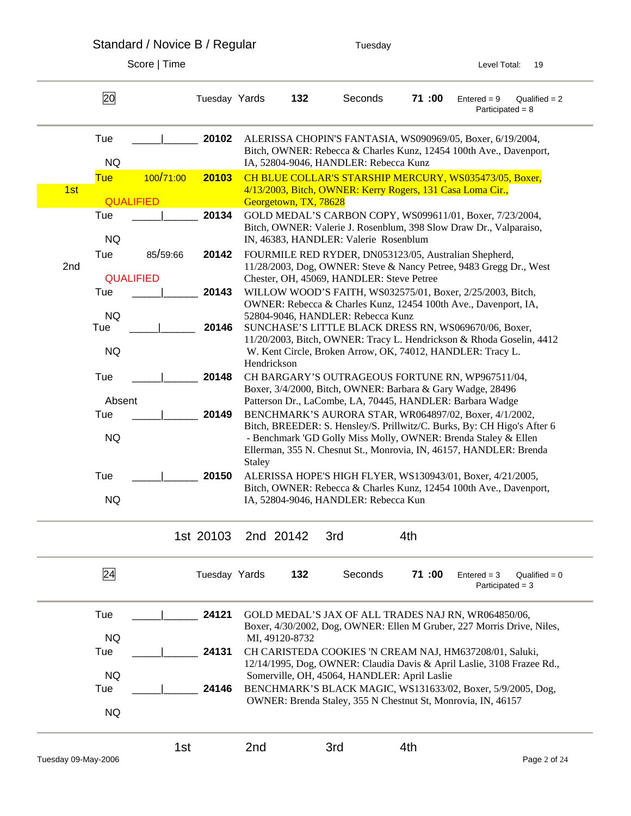Standard / Novice B / Regular Tuesday

|     | 20                      |           | Tuesday Yards |             | 132                   | Seconds                                                                                                                                                                                                         | 71:00 | $Entered = 9$<br>Participated = $8$ | Qualified $= 2$ |
|-----|-------------------------|-----------|---------------|-------------|-----------------------|-----------------------------------------------------------------------------------------------------------------------------------------------------------------------------------------------------------------|-------|-------------------------------------|-----------------|
|     | Tue                     |           | 20102         |             |                       | ALERISSA CHOPIN'S FANTASIA, WS090969/05, Boxer, 6/19/2004,                                                                                                                                                      |       |                                     |                 |
|     | <b>NQ</b>               |           |               |             |                       | Bitch, OWNER: Rebecca & Charles Kunz, 12454 100th Ave., Davenport,<br>IA, 52804-9046, HANDLER: Rebecca Kunz                                                                                                     |       |                                     |                 |
|     | <b>Tue</b>              | 100/71:00 | 20103         |             |                       | CH BLUE COLLAR'S STARSHIP MERCURY, WS035473/05, Boxer,                                                                                                                                                          |       |                                     |                 |
| 1st |                         |           |               |             |                       | 4/13/2003, Bitch, OWNER: Kerry Rogers, 131 Casa Loma Cir.,                                                                                                                                                      |       |                                     |                 |
|     | <b>QUALIFIED</b><br>Tue |           | 20134         |             | Georgetown, TX, 78628 | GOLD MEDAL'S CARBON COPY, WS099611/01, Boxer, 7/23/2004,                                                                                                                                                        |       |                                     |                 |
|     |                         |           |               |             |                       | Bitch, OWNER: Valerie J. Rosenblum, 398 Slow Draw Dr., Valparaiso,                                                                                                                                              |       |                                     |                 |
|     | <b>NQ</b>               |           |               |             |                       | IN, 46383, HANDLER: Valerie Rosenblum                                                                                                                                                                           |       |                                     |                 |
|     | Tue                     | 85/59:66  | 20142         |             |                       | FOURMILE RED RYDER, DN053123/05, Australian Shepherd,                                                                                                                                                           |       |                                     |                 |
| 2nd | <b>QUALIFIED</b>        |           |               |             |                       | 11/28/2003, Dog, OWNER: Steve & Nancy Petree, 9483 Gregg Dr., West<br>Chester, OH, 45069, HANDLER: Steve Petree                                                                                                 |       |                                     |                 |
|     | Tue                     |           | 20143         |             |                       | WILLOW WOOD'S FAITH, WS032575/01, Boxer, 2/25/2003, Bitch,                                                                                                                                                      |       |                                     |                 |
|     |                         |           |               |             |                       | OWNER: Rebecca & Charles Kunz, 12454 100th Ave., Davenport, IA,                                                                                                                                                 |       |                                     |                 |
|     | <b>NQ</b><br>Tue        |           | 20146         |             |                       | 52804-9046, HANDLER: Rebecca Kunz<br>SUNCHASE'S LITTLE BLACK DRESS RN, WS069670/06, Boxer,                                                                                                                      |       |                                     |                 |
|     |                         |           |               |             |                       | 11/20/2003, Bitch, OWNER: Tracy L. Hendrickson & Rhoda Goselin, 4412                                                                                                                                            |       |                                     |                 |
|     | <b>NQ</b>               |           |               |             |                       | W. Kent Circle, Broken Arrow, OK, 74012, HANDLER: Tracy L.                                                                                                                                                      |       |                                     |                 |
|     |                         |           |               | Hendrickson |                       |                                                                                                                                                                                                                 |       |                                     |                 |
|     | Tue                     |           | 20148         |             |                       | CH BARGARY'S OUTRAGEOUS FORTUNE RN, WP967511/04,<br>Boxer, 3/4/2000, Bitch, OWNER: Barbara & Gary Wadge, 28496                                                                                                  |       |                                     |                 |
|     | Absent                  |           |               |             |                       | Patterson Dr., LaCombe, LA, 70445, HANDLER: Barbara Wadge                                                                                                                                                       |       |                                     |                 |
|     | Tue                     |           | 20149         |             |                       | BENCHMARK'S AURORA STAR, WR064897/02, Boxer, 4/1/2002,                                                                                                                                                          |       |                                     |                 |
|     | <b>NQ</b>               |           |               | Staley      |                       | Bitch, BREEDER: S. Hensley/S. Prillwitz/C. Burks, By: CH Higo's After 6<br>- Benchmark 'GD Golly Miss Molly, OWNER: Brenda Staley & Ellen<br>Ellerman, 355 N. Chesnut St., Monrovia, IN, 46157, HANDLER: Brenda |       |                                     |                 |
|     | Tue                     |           | 20150         |             |                       | ALERISSA HOPE'S HIGH FLYER, WS130943/01, Boxer, 4/21/2005,                                                                                                                                                      |       |                                     |                 |
|     |                         |           |               |             |                       | Bitch, OWNER: Rebecca & Charles Kunz, 12454 100th Ave., Davenport,                                                                                                                                              |       |                                     |                 |
|     | <b>NQ</b>               |           |               |             |                       | IA, 52804-9046, HANDLER: Rebecca Kun                                                                                                                                                                            |       |                                     |                 |
|     |                         |           | 1st 20103     |             | 2nd 20142             | 3rd                                                                                                                                                                                                             | 4th   |                                     |                 |
|     | 24                      |           | Tuesday Yards |             | 132                   | Seconds                                                                                                                                                                                                         | 71:00 | $Entered = 3$<br>Participated $=$ 3 | Qualified $= 0$ |
|     | Tue                     |           | 24121         |             |                       | GOLD MEDAL'S JAX OF ALL TRADES NAJ RN, WR064850/06,                                                                                                                                                             |       |                                     |                 |
|     |                         |           |               |             |                       | Boxer, 4/30/2002, Dog, OWNER: Ellen M Gruber, 227 Morris Drive, Niles,                                                                                                                                          |       |                                     |                 |
|     | <b>NQ</b><br>Tue        |           | 24131         |             | MI, 49120-8732        | CH CARISTEDA COOKIES 'N CREAM NAJ, HM637208/01, Saluki,                                                                                                                                                         |       |                                     |                 |
|     |                         |           |               |             |                       | 12/14/1995, Dog, OWNER: Claudia Davis & April Laslie, 3108 Frazee Rd.,                                                                                                                                          |       |                                     |                 |
|     | <b>NQ</b>               |           |               |             |                       | Somerville, OH, 45064, HANDLER: April Laslie                                                                                                                                                                    |       |                                     |                 |
|     | Tue                     |           | 24146         |             |                       | BENCHMARK'S BLACK MAGIC, WS131633/02, Boxer, 5/9/2005, Dog,                                                                                                                                                     |       |                                     |                 |
|     | <b>NQ</b>               |           |               |             |                       | OWNER: Brenda Staley, 355 N Chestnut St, Monrovia, IN, 46157                                                                                                                                                    |       |                                     |                 |
|     |                         | 1st       |               | 2nd         |                       | 3rd                                                                                                                                                                                                             | 4th   |                                     |                 |
|     | Tuesday 09-May-2006     |           |               |             |                       |                                                                                                                                                                                                                 |       |                                     | Page 2 of 24    |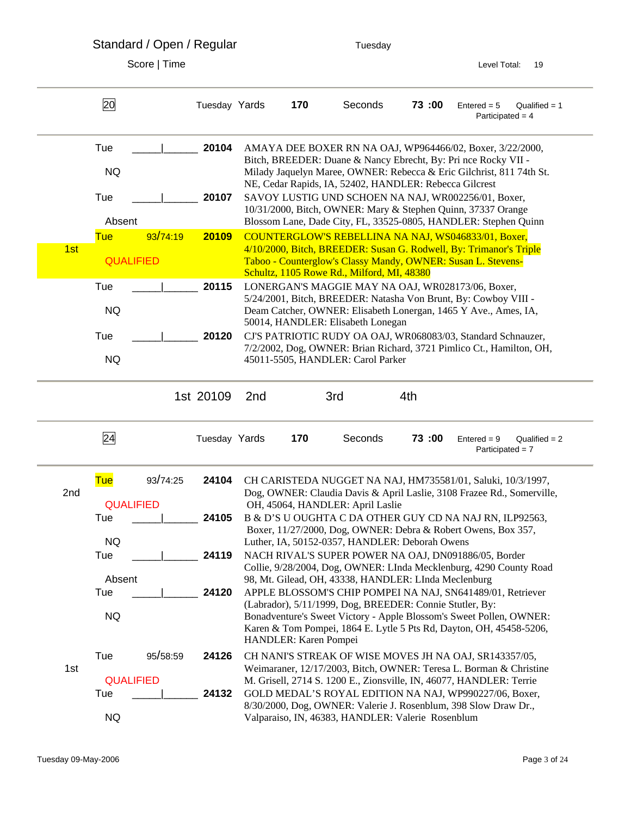Standard / Open / Regular Tuesday

| AMAYA DEE BOXER RN NA OAJ, WP964466/02, Boxer, 3/22/2000,<br>Bitch, BREEDER: Duane & Nancy Ebrecht, By: Pri nce Rocky VII -<br>Milady Jaquelyn Maree, OWNER: Rebecca & Eric Gilchrist, 811 74th St. |
|-----------------------------------------------------------------------------------------------------------------------------------------------------------------------------------------------------|
|                                                                                                                                                                                                     |
|                                                                                                                                                                                                     |
|                                                                                                                                                                                                     |
| SAVOY LUSTIG UND SCHOEN NA NAJ, WR002256/01, Boxer,<br>10/31/2000, Bitch, OWNER: Mary & Stephen Quinn, 37337 Orange                                                                                 |
| Blossom Lane, Dade City, FL, 33525-0805, HANDLER: Stephen Quinn                                                                                                                                     |
| COUNTERGLOW'S REBELLINA NA NAJ, WS046833/01, Boxer,<br>4/10/2000, Bitch, BREEDER: Susan G. Rodwell, By: Trimanor's Triple                                                                           |
| Taboo - Counterglow's Classy Mandy, OWNER: Susan L. Stevens-                                                                                                                                        |
| LONERGAN'S MAGGIE MAY NA OAJ, WR028173/06, Boxer,                                                                                                                                                   |
| 5/24/2001, Bitch, BREEDER: Natasha Von Brunt, By: Cowboy VIII -<br>Deam Catcher, OWNER: Elisabeth Lonergan, 1465 Y Ave., Ames, IA,                                                                  |
| CJ'S PATRIOTIC RUDY OA OAJ, WR068083/03, Standard Schnauzer,                                                                                                                                        |
| 7/2/2002, Dog, OWNER: Brian Richard, 3721 Pimlico Ct., Hamilton, OH,                                                                                                                                |
|                                                                                                                                                                                                     |
| $Qualified = 2$<br>Participated = $7$                                                                                                                                                               |
| CH CARISTEDA NUGGET NA NAJ, HM735581/01, Saluki, 10/3/1997,                                                                                                                                         |
| Dog, OWNER: Claudia Davis & April Laslie, 3108 Frazee Rd., Somerville,                                                                                                                              |
| B & D'S U OUGHTA C DA OTHER GUY CD NA NAJ RN, ILP92563,                                                                                                                                             |
| Boxer, 11/27/2000, Dog, OWNER: Debra & Robert Owens, Box 357,                                                                                                                                       |
| NACH RIVAL'S SUPER POWER NA OAJ, DN091886/05, Border                                                                                                                                                |
| Collie, 9/28/2004, Dog, OWNER: LInda Mecklenburg, 4290 County Road                                                                                                                                  |
| APPLE BLOSSOM'S CHIP POMPEI NA NAJ, SN641489/01, Retriever                                                                                                                                          |
| Bonadventure's Sweet Victory - Apple Blossom's Sweet Pollen, OWNER:                                                                                                                                 |
| Karen & Tom Pompei, 1864 E. Lytle 5 Pts Rd, Dayton, OH, 45458-5206,                                                                                                                                 |
| CH NANI'S STREAK OF WISE MOVES JH NA OAJ, SR143357/05,                                                                                                                                              |
| Weimaraner, 12/17/2003, Bitch, OWNER: Teresa L. Borman & Christine<br>M. Grisell, 2714 S. 1200 E., Zionsville, IN, 46077, HANDLER: Terrie                                                           |
| GOLD MEDAL'S ROYAL EDITION NA NAJ, WP990227/06, Boxer,                                                                                                                                              |
| 8/30/2000, Dog, OWNER: Valerie J. Rosenblum, 398 Slow Draw Dr.,                                                                                                                                     |
|                                                                                                                                                                                                     |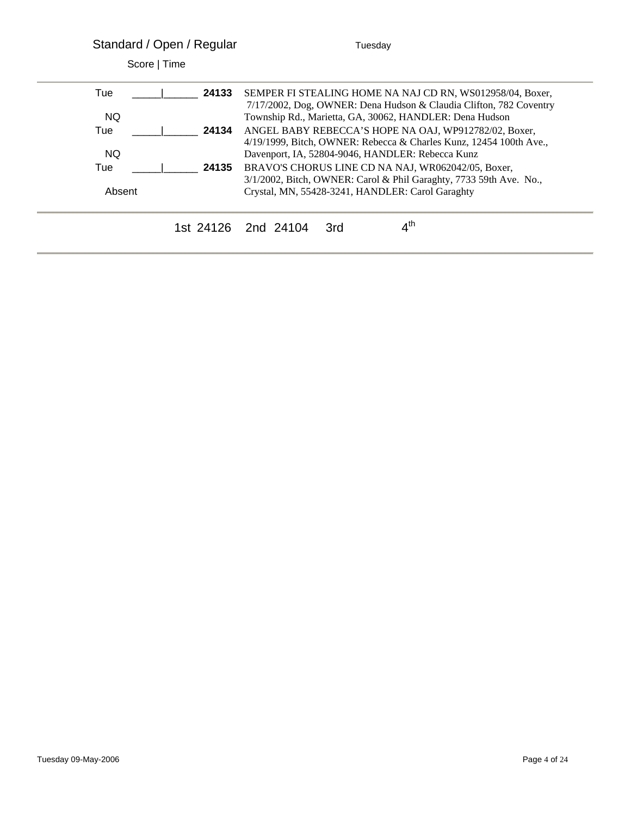| Standard / Open / Regular |       | Tuesday                                                              |  |  |  |  |  |
|---------------------------|-------|----------------------------------------------------------------------|--|--|--|--|--|
| Score   Time              |       |                                                                      |  |  |  |  |  |
| Tue                       | 24133 | SEMPER FI STEALING HOME NA NAJ CD RN, WS012958/04, Boxer,            |  |  |  |  |  |
|                           |       | 7/17/2002, Dog, OWNER: Dena Hudson & Claudia Clifton, 782 Coventry   |  |  |  |  |  |
| NQ.                       |       | Township Rd., Marietta, GA, 30062, HANDLER: Dena Hudson              |  |  |  |  |  |
| Tue                       | 24134 | ANGEL BABY REBECCA'S HOPE NA OAJ, WP912782/02, Boxer,                |  |  |  |  |  |
|                           |       | $4/19/1999$ , Bitch, OWNER: Rebecca & Charles Kunz, 12454 100th Ave. |  |  |  |  |  |
| NQ.                       |       | Davenport, IA, 52804-9046, HANDLER: Rebecca Kunz                     |  |  |  |  |  |
| Tue                       | 24135 | BRAVO'S CHORUS LINE CD NA NAJ, WR062042/05, Boxer,                   |  |  |  |  |  |
|                           |       | 3/1/2002, Bitch, OWNER: Carol & Phil Garaghty, 7733 59th Ave. No.,   |  |  |  |  |  |
| Absent                    |       | Crystal, MN, 55428-3241, HANDLER: Carol Garaghty                     |  |  |  |  |  |
|                           |       | $4^{\text{th}}$<br>1st 24126 2nd 24104<br>3rd                        |  |  |  |  |  |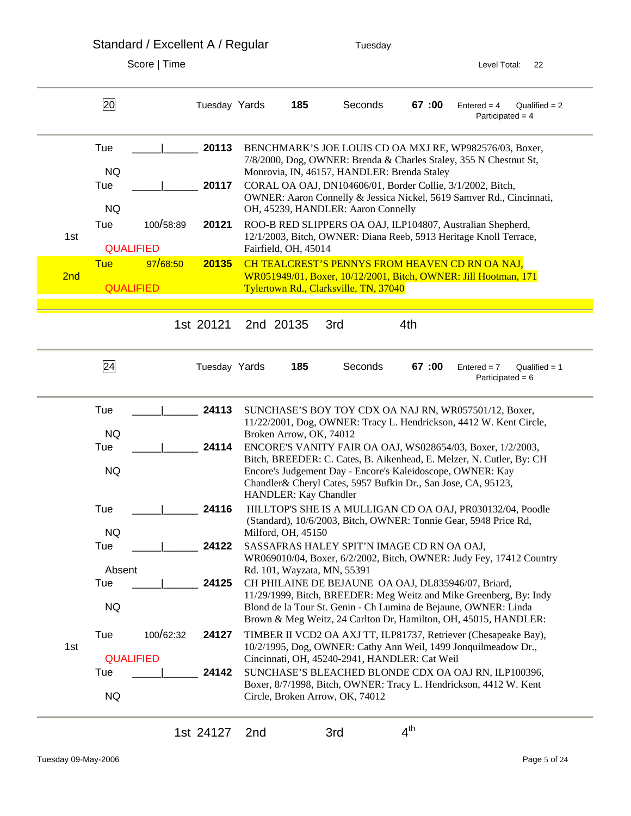Standard / Excellent A / Regular Tuesday Score | Time Level Total: 22 20 Tuesday Yards **185** Seconds **67 :00** Entered = 4 Qualified = 2 Participated = 4 Tue \_\_\_\_\_|\_\_\_\_\_\_ **20113** BENCHMARK'S JOE LOUIS CD OA MXJ RE, WP982576/03, Boxer, 7/8/2000, Dog, OWNER: Brenda & Charles Staley, 355 N Chestnut St, NQ Monrovia, IN, 46157, HANDLER: Brenda Staley Tue  $\vert$  **20117** CORAL OA OAJ, DN104606/01, Border Collie, 3/1/2002, Bitch, OWNER: Aaron Connelly & Jessica Nickel, 5619 Samver Rd., Cincinnati, NQ OH, 45239, HANDLER: Aaron Connelly Tue 100/58:89 **20121** ROO-B RED SLIPPERS OA OAJ, ILP104807, Australian Shepherd, 1st 12/1/2003, Bitch, OWNER: Diana Reeb, 5913 Heritage Knoll Terrace, QUALIFIED Fairfield, OH, 45014 Tue 97/68:50 **20135** CH TEALCREST'S PENNYS FROM HEAVEN CD RN OA NAJ, 2nd WR051949/01, Boxer, 10/12/2001, Bitch, OWNER: Jill Hootman, 171 QUALIFIED Tylertown Rd., Clarksville, TN, 37040 1st 20121 2nd 20135 3rd 4th 24 Tuesday Yards **185** Seconds **67 :00** Entered = 7 Qualified = 1 Participated = 6 Tue  $\vert$  **24113** SUNCHASE'S BOY TOY CDX OA NAJ RN, WR057501/12, Boxer, 11/22/2001, Dog, OWNER: Tracy L. Hendrickson, 4412 W. Kent Circle, NQ Broken Arrow, OK, 74012 Tue \_\_\_\_\_|\_\_\_\_\_\_ **24114** ENCORE'S VANITY FAIR OA OAJ, WS028654/03, Boxer, 1/2/2003, Bitch, BREEDER: C. Cates, B. Aikenhead, E. Melzer, N. Cutler, By: CH NQ Encore's Judgement Day - Encore's Kaleidoscope, OWNER: Kay Chandler& Cheryl Cates, 5957 Bufkin Dr., San Jose, CA, 95123, HANDLER: Kay Chandler Tue  $\vert$  **24116** HILLTOP'S SHE IS A MULLIGAN CD OA OAJ, PR030132/04, Poodle (Standard), 10/6/2003, Bitch, OWNER: Tonnie Gear, 5948 Price Rd, NQ Milford, OH, 45150 Tue  $\vert$  **24122** SASSAFRAS HALEY SPIT'N IMAGE CD RN OA OAJ, WR069010/04, Boxer, 6/2/2002, Bitch, OWNER: Judy Fey, 17412 Country Absent Rd. 101, Wayzata, MN, 55391 Tue \_\_\_\_\_|\_\_\_\_\_\_ **24125** CH PHILAINE DE BEJAUNE OA OAJ, DL835946/07, Briard, 11/29/1999, Bitch, BREEDER: Meg Weitz and Mike Greenberg, By: Indy NQ Blond de la Tour St. Genin - Ch Lumina de Bejaune, OWNER: Linda Brown & Meg Weitz, 24 Carlton Dr, Hamilton, OH, 45015, HANDLER: Tue 100/62:32 **24127** TIMBER II VCD2 OA AXJ TT, ILP81737, Retriever (Chesapeake Bay), 1st 10/2/1995, Dog, OWNER: Cathy Ann Weil, 1499 Jonquilmeadow Dr., QUALIFIED Cincinnati, OH, 45240-2941, HANDLER: Cat Weil Tue \_\_\_\_\_|\_\_\_\_\_\_ **24142** SUNCHASE'S BLEACHED BLONDE CDX OA OAJ RN, ILP100396, Boxer, 8/7/1998, Bitch, OWNER: Tracy L. Hendrickson, 4412 W. Kent NQ Circle, Broken Arrow, OK, 74012

1st 24127 2nd 3rd  $4^{th}$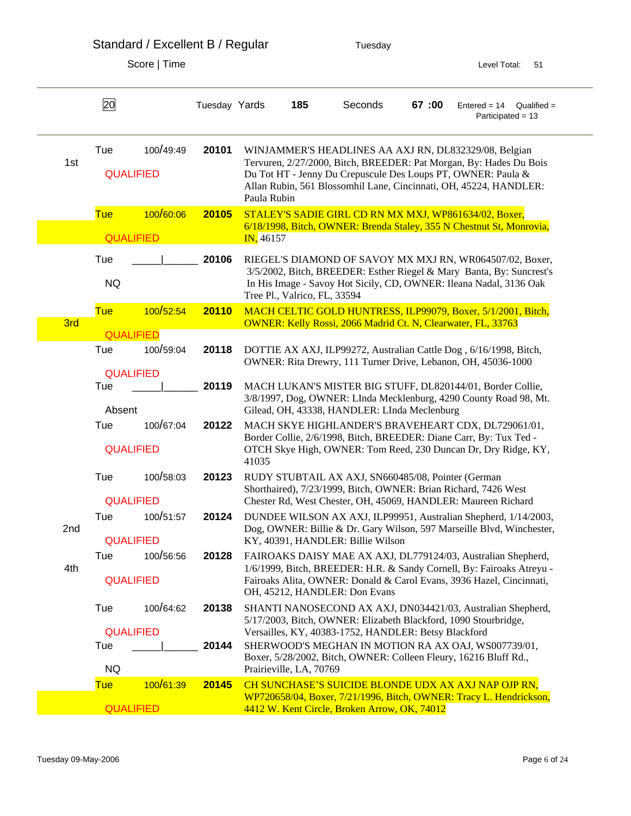| Standard / Excellent B / Regular | Tuesday |
|----------------------------------|---------|
|----------------------------------|---------|

|     | 20                             |           | Tuesday Yards |             | 185                          | Seconds                                                             | 67:00 | $Entered = 14$<br>$Qualified =$<br>Participated = 13                                                                                                                                                                                                             |
|-----|--------------------------------|-----------|---------------|-------------|------------------------------|---------------------------------------------------------------------|-------|------------------------------------------------------------------------------------------------------------------------------------------------------------------------------------------------------------------------------------------------------------------|
| 1st | Tue<br><b>QUALIFIED</b>        | 100/49:49 | 20101         | Paula Rubin |                              |                                                                     |       | WINJAMMER'S HEADLINES AA AXJ RN, DL832329/08, Belgian<br>Tervuren, 2/27/2000, Bitch, BREEDER: Pat Morgan, By: Hades Du Bois<br>Du Tot HT - Jenny Du Crepuscule Des Loups PT, OWNER: Paula &<br>Allan Rubin, 561 Blossomhil Lane, Cincinnati, OH, 45224, HANDLER: |
|     | <b>Tue</b><br><b>QUALIFIED</b> | 100/60:06 | 20105         | IN, 46157   |                              |                                                                     |       | STALEY'S SADIE GIRL CD RN MX MXJ, WP861634/02, Boxer,<br>6/18/1998, Bitch, OWNER: Brenda Staley, 355 N Chestnut St, Monrovia,                                                                                                                                    |
|     | Tue<br><b>NQ</b>               |           | 20106         |             | Tree Pl., Valrico, FL, 33594 |                                                                     |       | RIEGEL'S DIAMOND OF SAVOY MX MXJ RN, WR064507/02, Boxer,<br>3/5/2002, Bitch, BREEDER: Esther Riegel & Mary Banta, By: Suncrest's<br>In His Image - Savoy Hot Sicily, CD, OWNER: Ileana Nadal, 3136 Oak                                                           |
| 3rd | <b>Tue</b>                     | 100/52:54 | 20110         |             |                              | <b>OWNER: Kelly Rossi, 2066 Madrid Ct. N, Clearwater, FL, 33763</b> |       | MACH CELTIC GOLD HUNTRESS, ILP99079, Boxer, 5/1/2001, Bitch,                                                                                                                                                                                                     |
|     | <b>QUALIFIED</b>               |           |               |             |                              |                                                                     |       |                                                                                                                                                                                                                                                                  |
|     | Tue<br><b>QUALIFIED</b>        | 100/59:04 | 20118         |             |                              |                                                                     |       | DOTTIE AX AXJ, ILP99272, Australian Cattle Dog, 6/16/1998, Bitch,<br>OWNER: Rita Drewry, 111 Turner Drive, Lebanon, OH, 45036-1000                                                                                                                               |
|     | Tue<br>Absent                  |           | 20119         |             |                              | Gilead, OH, 43338, HANDLER: LInda Meclenburg                        |       | MACH LUKAN'S MISTER BIG STUFF, DL820144/01, Border Collie,<br>3/8/1997, Dog, OWNER: LInda Mecklenburg, 4290 County Road 98, Mt.                                                                                                                                  |
|     | Tue<br><b>QUALIFIED</b>        | 100/67:04 | 20122         | 41035       |                              |                                                                     |       | MACH SKYE HIGHLANDER'S BRAVEHEART CDX, DL729061/01,<br>Border Collie, 2/6/1998, Bitch, BREEDER: Diane Carr, By: Tux Ted -<br>OTCH Skye High, OWNER: Tom Reed, 230 Duncan Dr, Dry Ridge, KY,                                                                      |
|     | Tue<br><b>QUALIFIED</b>        | 100/58:03 | 20123         |             |                              | RUDY STUBTAIL AX AXJ, SN660485/08, Pointer (German                  |       | Shorthaired), 7/23/1999, Bitch, OWNER: Brian Richard, 7426 West<br>Chester Rd, West Chester, OH, 45069, HANDLER: Maureen Richard                                                                                                                                 |
| 2nd | Tue<br><b>QUALIFIED</b>        | 100/51:57 | 20124         |             |                              | KY, 40391, HANDLER: Billie Wilson                                   |       | DUNDEE WILSON AX AXJ, ILP99951, Australian Shepherd, 1/14/2003,<br>Dog, OWNER: Billie & Dr. Gary Wilson, 597 Marseille Blvd, Winchester,                                                                                                                         |
| 4th | Tue<br><b>QUALIFIED</b>        | 100/56:56 | 20128         |             |                              | OH, 45212, HANDLER: Don Evans                                       |       | FAIROAKS DAISY MAE AX AXJ, DL779124/03, Australian Shepherd,<br>1/6/1999, Bitch, BREEDER: H.R. & Sandy Cornell, By: Fairoaks Atreyu -<br>Fairoaks Alita, OWNER: Donald & Carol Evans, 3936 Hazel, Cincinnati,                                                    |
|     | Tue                            | 100/64:62 | 20138         |             |                              |                                                                     |       | SHANTI NANOSECOND AX AXJ, DN034421/03, Australian Shepherd,<br>5/17/2003, Bitch, OWNER: Elizabeth Blackford, 1090 Stourbridge,                                                                                                                                   |
|     | <b>QUALIFIED</b><br>Tue<br>NQ  |           | 20144         |             | Prairieville, LA, 70769      | Versailles, KY, 40383-1752, HANDLER: Betsy Blackford                |       | SHERWOOD'S MEGHAN IN MOTION RA AX OAJ, WS007739/01,<br>Boxer, 5/28/2002, Bitch, OWNER: Colleen Fleury, 16216 Bluff Rd.,                                                                                                                                          |
|     | <b>Tue</b>                     | 100/61:39 | 20145         |             |                              |                                                                     |       | CH SUNCHASE'S SUICIDE BLONDE UDX AX AXJ NAP OJP RN,                                                                                                                                                                                                              |
|     | <b>QUALIFIED</b>               |           |               |             |                              | 4412 W. Kent Circle, Broken Arrow, OK, 74012                        |       | WP720658/04, Boxer, 7/21/1996, Bitch, OWNER: Tracy L. Hendrickson,                                                                                                                                                                                               |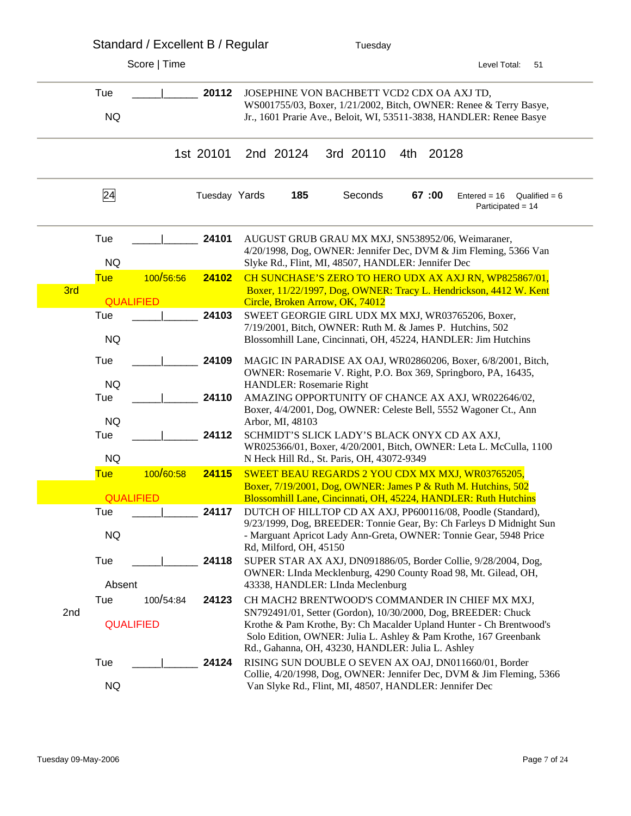|     |                         | Standard / Excellent B / Regular |               | Tuesday                                                |  |           |     |       |                                                                                                                                          |                 |
|-----|-------------------------|----------------------------------|---------------|--------------------------------------------------------|--|-----------|-----|-------|------------------------------------------------------------------------------------------------------------------------------------------|-----------------|
|     |                         | Score   Time                     |               |                                                        |  |           |     |       | Level Total:                                                                                                                             | 51              |
|     | Tue<br><b>NQ</b>        |                                  | 20112         | JOSEPHINE VON BACHBETT VCD2 CDX OA AXJ TD,             |  |           |     |       | WS001755/03, Boxer, 1/21/2002, Bitch, OWNER: Renee & Terry Basye,<br>Jr., 1601 Prarie Ave., Beloit, WI, 53511-3838, HANDLER: Renee Basye |                 |
|     |                         |                                  | 1st 20101     | 2nd 20124                                              |  | 3rd 20110 | 4th | 20128 |                                                                                                                                          |                 |
|     | 24                      |                                  | Tuesday Yards | 185                                                    |  | Seconds   |     | 67:00 | $E$ ntered = 16<br>Participated = 14                                                                                                     | Qualified = $6$ |
|     | Tue<br><b>NQ</b>        |                                  | 24101         | Slyke Rd., Flint, MI, 48507, HANDLER: Jennifer Dec     |  |           |     |       | AUGUST GRUB GRAU MX MXJ, SN538952/06, Weimaraner,<br>4/20/1998, Dog, OWNER: Jennifer Dec, DVM & Jim Fleming, 5366 Van                    |                 |
| 3rd | <b>Tue</b>              | 100/56:56                        | 24102         |                                                        |  |           |     |       | CH SUNCHASE'S ZERO TO HERO UDX AX AXJ RN, WP825867/01,<br>Boxer, 11/22/1997, Dog, OWNER: Tracy L. Hendrickson, 4412 W. Kent              |                 |
|     | <b>QUALIFIED</b>        |                                  |               | Circle, Broken Arrow, OK, 74012                        |  |           |     |       |                                                                                                                                          |                 |
|     | Tue                     |                                  | 24103         |                                                        |  |           |     |       | SWEET GEORGIE GIRL UDX MX MXJ, WR03765206, Boxer,                                                                                        |                 |
|     | <b>NQ</b>               |                                  |               |                                                        |  |           |     |       | 7/19/2001, Bitch, OWNER: Ruth M. & James P. Hutchins, 502<br>Blossomhill Lane, Cincinnati, OH, 45224, HANDLER: Jim Hutchins              |                 |
|     | Tue                     |                                  | 24109         |                                                        |  |           |     |       | MAGIC IN PARADISE AX OAJ, WR02860206, Boxer, 6/8/2001, Bitch,                                                                            |                 |
|     | <b>NQ</b>               |                                  |               | HANDLER: Rosemarie Right                               |  |           |     |       | OWNER: Rosemarie V. Right, P.O. Box 369, Springboro, PA, 16435,                                                                          |                 |
|     | Tue                     |                                  | 24110         |                                                        |  |           |     |       | AMAZING OPPORTUNITY OF CHANCE AX AXJ, WR022646/02,                                                                                       |                 |
|     |                         |                                  |               |                                                        |  |           |     |       | Boxer, 4/4/2001, Dog, OWNER: Celeste Bell, 5552 Wagoner Ct., Ann                                                                         |                 |
|     | <b>NQ</b><br>Tue        |                                  | 24112         | Arbor, MI, 48103                                       |  |           |     |       | SCHMIDT'S SLICK LADY'S BLACK ONYX CD AX AXJ,                                                                                             |                 |
|     | <b>NQ</b>               |                                  |               | N Heck Hill Rd., St. Paris, OH, 43072-9349             |  |           |     |       | WR025366/01, Boxer, 4/20/2001, Bitch, OWNER: Leta L. McCulla, 1100                                                                       |                 |
|     | <b>Tue</b>              | 100/60:58                        | 24115         |                                                        |  |           |     |       | SWEET BEAU REGARDS 2 YOU CDX MX MXJ, WR03765205,                                                                                         |                 |
|     |                         |                                  |               |                                                        |  |           |     |       | Boxer, 7/19/2001, Dog, OWNER: James P & Ruth M. Hutchins, 502                                                                            |                 |
|     | <b>QUALIFIED</b><br>Tue |                                  | 24117         |                                                        |  |           |     |       | Blossomhill Lane, Cincinnati, OH, 45224, HANDLER: Ruth Hutchins<br>DUTCH OF HILLTOP CD AX AXJ, PP600116/08, Poodle (Standard),           |                 |
|     |                         |                                  |               |                                                        |  |           |     |       | 9/23/1999, Dog, BREEDER: Tonnie Gear, By: Ch Farleys D Midnight Sun                                                                      |                 |
|     | <b>NQ</b>               |                                  |               | Rd, Milford, OH, 45150                                 |  |           |     |       | - Marguant Apricot Lady Ann-Greta, OWNER: Tonnie Gear, 5948 Price                                                                        |                 |
|     | Tue                     |                                  | 24118         |                                                        |  |           |     |       | SUPER STAR AX AXJ, DN091886/05, Border Collie, 9/28/2004, Dog,                                                                           |                 |
|     |                         |                                  |               |                                                        |  |           |     |       | OWNER: LInda Mecklenburg, 4290 County Road 98, Mt. Gilead, OH,                                                                           |                 |
|     | Absent                  |                                  |               | 43338, HANDLER: LInda Meclenburg                       |  |           |     |       |                                                                                                                                          |                 |
| 2nd | Tue                     | 100/54:84                        | 24123         |                                                        |  |           |     |       | CH MACH2 BRENTWOOD'S COMMANDER IN CHIEF MX MXJ,<br>SN792491/01, Setter (Gordon), 10/30/2000, Dog, BREEDER: Chuck                         |                 |
|     | <b>QUALIFIED</b>        |                                  |               | Rd., Gahanna, OH, 43230, HANDLER: Julia L. Ashley      |  |           |     |       | Krothe & Pam Krothe, By: Ch Macalder Upland Hunter - Ch Brentwood's<br>Solo Edition, OWNER: Julia L. Ashley & Pam Krothe, 167 Greenbank  |                 |
|     | Tue                     |                                  | 24124         |                                                        |  |           |     |       | RISING SUN DOUBLE O SEVEN AX OAJ, DN011660/01, Border                                                                                    |                 |
|     | <b>NQ</b>               |                                  |               | Van Slyke Rd., Flint, MI, 48507, HANDLER: Jennifer Dec |  |           |     |       | Collie, 4/20/1998, Dog, OWNER: Jennifer Dec, DVM & Jim Fleming, 5366                                                                     |                 |
|     |                         |                                  |               |                                                        |  |           |     |       |                                                                                                                                          |                 |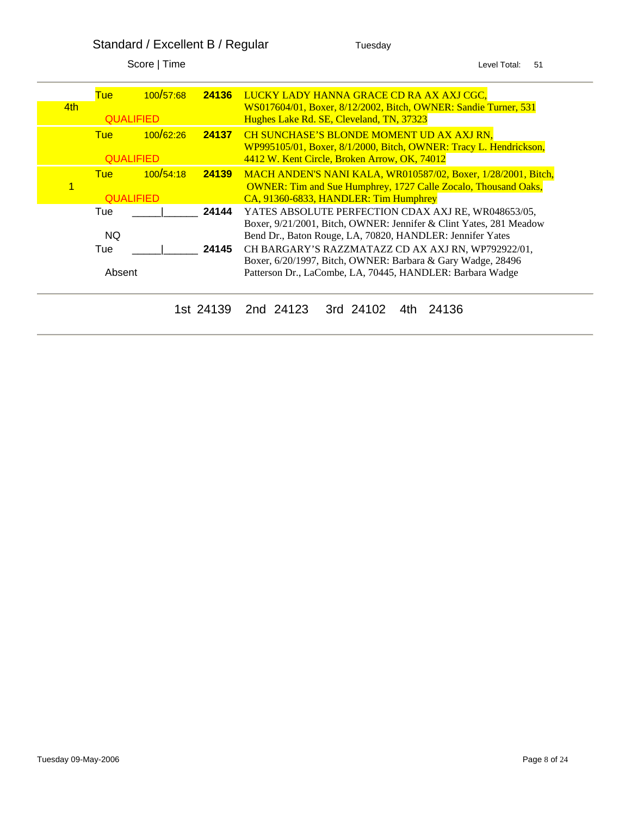Standard / Excellent B / Regular Tuesday

| 4th | Tue                            | 100/57:68 | 24136     | LUCKY LADY HANNA GRACE CD RA AX AXJ CGC,<br>WS017604/01, Boxer, 8/12/2002, Bitch, OWNER: Sandie Turner, 531       |
|-----|--------------------------------|-----------|-----------|-------------------------------------------------------------------------------------------------------------------|
|     | <b>QUALIFIED</b>               |           |           | Hughes Lake Rd. SE, Cleveland, TN, 37323                                                                          |
|     | <b>Tue</b>                     | 100/62:26 | 24137     | <b>CH SUNCHASE'S BLONDE MOMENT UD AX AXJ RN,</b>                                                                  |
|     | <b>QUALIFIED</b>               |           |           | WP995105/01, Boxer, 8/1/2000, Bitch, OWNER: Tracy L. Hendrickson,<br>4412 W. Kent Circle, Broken Arrow, OK, 74012 |
|     | <b>Tue</b>                     | 100/54:18 | 24139     | MACH ANDEN'S NANI KALA, WR010587/02, Boxer, 1/28/2001, Bitch,                                                     |
|     |                                |           |           | <b>OWNER: Tim and Sue Humphrey, 1727 Calle Zocalo, Thousand Oaks,</b>                                             |
|     | <b><i><u>OUALIFIED</u></i></b> |           |           | CA, 91360-6833, HANDLER: Tim Humphrey                                                                             |
|     | Tue                            |           | 24144     | YATES ABSOLUTE PERFECTION CDAX AXJ RE, WR048653/05,                                                               |
|     |                                |           |           | Boxer, 9/21/2001, Bitch, OWNER: Jennifer & Clint Yates, 281 Meadow                                                |
|     | NQ.                            |           |           | Bend Dr., Baton Rouge, LA, 70820, HANDLER: Jennifer Yates                                                         |
|     | Tue                            |           | 24145     | CH BARGARY'S RAZZMATAZZ CD AX AXJ RN, WP792922/01,                                                                |
|     |                                |           |           | Boxer, 6/20/1997, Bitch, OWNER: Barbara & Gary Wadge, 28496                                                       |
|     | Absent                         |           |           | Patterson Dr., LaCombe, LA, 70445, HANDLER: Barbara Wadge                                                         |
|     |                                |           |           |                                                                                                                   |
|     |                                |           | 1st 24139 | 24136<br>3rd 24102<br>2nd 24123                                                                                   |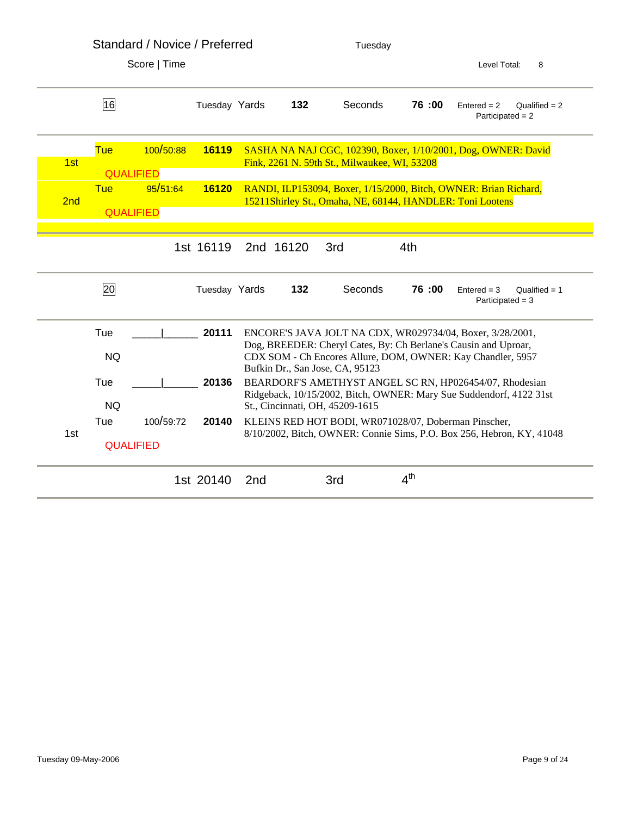|     |                                | Standard / Novice / Preferred |               |                 |           | Tuesday                                                   |                 |                                                                                                                                |  |  |
|-----|--------------------------------|-------------------------------|---------------|-----------------|-----------|-----------------------------------------------------------|-----------------|--------------------------------------------------------------------------------------------------------------------------------|--|--|
|     |                                | Score   Time                  |               |                 |           |                                                           |                 | Level Total:<br>8                                                                                                              |  |  |
|     | 16                             |                               | Tuesday Yards |                 | 132       | Seconds                                                   | 76:00           | $Entered = 2$<br>Qualified $= 2$<br>Participated = $2$                                                                         |  |  |
| 1st | <b>Tue</b><br><b>QUALIFIED</b> | 100/50:88                     | 16119         |                 |           | Fink, 2261 N. 59th St., Milwaukee, WI, 53208              |                 | SASHA NA NAJ CGC, 102390, Boxer, 1/10/2001, Dog, OWNER: David                                                                  |  |  |
| 2nd | <b>Tue</b><br><b>QUALIFIED</b> | 95/51:64                      | 16120         |                 |           | 15211Shirley St., Omaha, NE, 68144, HANDLER: Toni Lootens |                 | RANDI, ILP153094, Boxer, 1/15/2000, Bitch, OWNER: Brian Richard,                                                               |  |  |
|     |                                |                               |               |                 |           |                                                           |                 |                                                                                                                                |  |  |
|     |                                |                               | 1st 16119     |                 | 2nd 16120 | 3rd                                                       | 4th             |                                                                                                                                |  |  |
|     | 20                             |                               | Tuesday Yards |                 | 132       | Seconds                                                   | 76:00           | Qualified $= 1$<br>$Entered = 3$<br>$Participated = 3$                                                                         |  |  |
|     | Tue                            |                               | 20111         |                 |           |                                                           |                 | ENCORE'S JAVA JOLT NA CDX, WR029734/04, Boxer, 3/28/2001,                                                                      |  |  |
|     | <b>NQ</b>                      |                               |               |                 |           | Bufkin Dr., San Jose, CA, 95123                           |                 | Dog, BREEDER: Cheryl Cates, By: Ch Berlane's Causin and Uproar,<br>CDX SOM - Ch Encores Allure, DOM, OWNER: Kay Chandler, 5957 |  |  |
|     | Tue<br><b>NQ</b>               |                               | 20136         |                 |           | St., Cincinnati, OH, 45209-1615                           |                 | BEARDORF'S AMETHYST ANGEL SC RN, HP026454/07, Rhodesian<br>Ridgeback, 10/15/2002, Bitch, OWNER: Mary Sue Suddendorf, 4122 31st |  |  |
| 1st | Tue                            | 100/59:72                     | 20140         |                 |           | KLEINS RED HOT BODI, WR071028/07, Doberman Pinscher,      |                 | 8/10/2002, Bitch, OWNER: Connie Sims, P.O. Box 256, Hebron, KY, 41048                                                          |  |  |
|     | <b>QUALIFIED</b>               |                               |               |                 |           |                                                           |                 |                                                                                                                                |  |  |
|     |                                |                               | 1st 20140     | 2 <sub>nd</sub> |           | 3rd                                                       | 4 <sup>th</sup> |                                                                                                                                |  |  |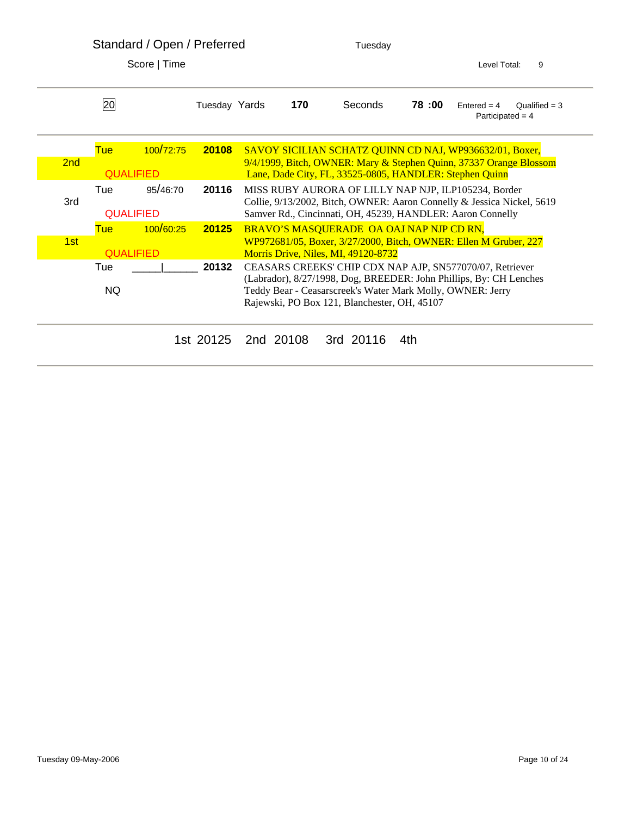|     |                  | Standard / Open / Preferred<br>Score   Time |               |           | Tuesday                                                                                                    |       | 9<br>Level Total:                                                      |  |  |
|-----|------------------|---------------------------------------------|---------------|-----------|------------------------------------------------------------------------------------------------------------|-------|------------------------------------------------------------------------|--|--|
|     |                  |                                             |               |           |                                                                                                            |       |                                                                        |  |  |
|     | 20               |                                             | Tuesday Yards | 170       | Seconds                                                                                                    | 78:00 | $Entered = 4$<br>Qualified $=$ 3<br>Participated = $4$                 |  |  |
|     | <b>Tue</b>       | 100/72:75                                   | 20108         |           |                                                                                                            |       | SAVOY SICILIAN SCHATZ QUINN CD NAJ, WP936632/01, Boxer,                |  |  |
| 2nd | <b>QUALIFIED</b> |                                             |               |           | Lane, Dade City, FL, 33525-0805, HANDLER: Stephen Quinn                                                    |       | 9/4/1999, Bitch, OWNER: Mary & Stephen Quinn, 37337 Orange Blossom     |  |  |
|     | Tue              | 95/46:70                                    | 20116         |           |                                                                                                            |       | MISS RUBY AURORA OF LILLY NAP NJP, ILP105234, Border                   |  |  |
| 3rd | <b>QUALIFIED</b> |                                             |               |           | Samver Rd., Cincinnati, OH, 45239, HANDLER: Aaron Connelly                                                 |       | Collie, 9/13/2002, Bitch, OWNER: Aaron Connelly & Jessica Nickel, 5619 |  |  |
|     | Tue              | 100/60:25                                   | 20125         |           | BRAVO'S MASQUERADE OA OAJ NAP NJP CD RN,                                                                   |       |                                                                        |  |  |
| 1st | <b>QUALIFIED</b> |                                             |               |           | Morris Drive, Niles, MI, 49120-8732                                                                        |       | WP972681/05, Boxer, 3/27/2000, Bitch, OWNER: Ellen M Gruber, 227       |  |  |
|     | Tue              |                                             | 20132         |           |                                                                                                            |       | CEASARS CREEKS' CHIP CDX NAP AJP, SN577070/07, Retriever               |  |  |
|     | NQ.              |                                             |               |           | Teddy Bear - Ceasarscreek's Water Mark Molly, OWNER: Jerry<br>Rajewski, PO Box 121, Blanchester, OH, 45107 |       | (Labrador), 8/27/1998, Dog, BREEDER: John Phillips, By: CH Lenches     |  |  |
|     |                  |                                             | 1st 20125     | 2nd 20108 | 3rd 20116                                                                                                  | 4th   |                                                                        |  |  |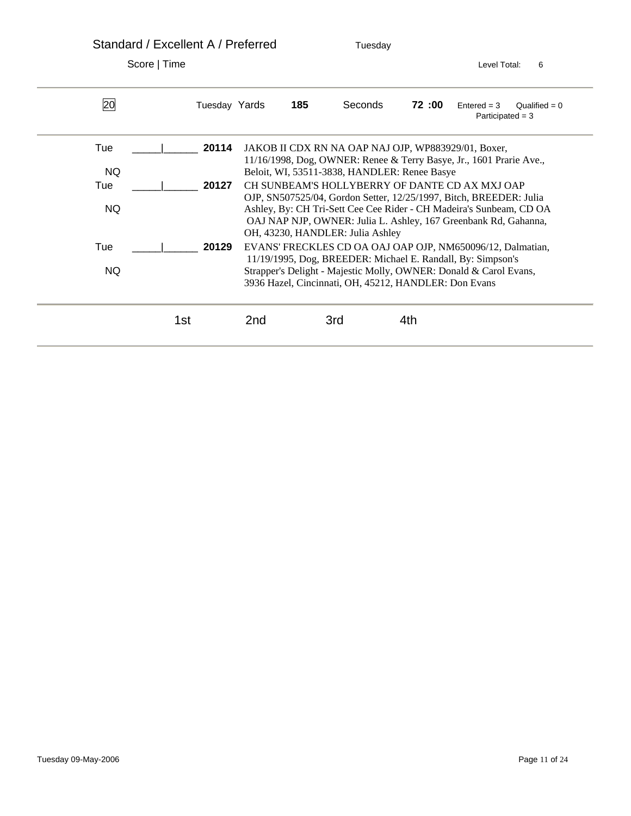Standard / Excellent A / Preferred Tuesday Score | Time Level Total: 6 20 Tuesday Yards **185** Seconds **72 :00** Entered = 3 Qualified = 0 Participated = 3 Tue \_\_\_\_\_|\_\_\_\_\_\_ **20114** JAKOB II CDX RN NA OAP NAJ OJP, WP883929/01, Boxer, 11/16/1998, Dog, OWNER: Renee & Terry Basye, Jr., 1601 Prarie Ave., NQ Beloit, WI, 53511-3838, HANDLER: Renee Basye Tue  $\vert$  **20127** CH SUNBEAM'S HOLLYBERRY OF DANTE CD AX MXJ OAP OJP, SN507525/04, Gordon Setter, 12/25/1997, Bitch, BREEDER: Julia NQ Ashley, By: CH Tri-Sett Cee Cee Rider - CH Madeira's Sunbeam, CD OA OAJ NAP NJP, OWNER: Julia L. Ashley, 167 Greenbank Rd, Gahanna, OH, 43230, HANDLER: Julia Ashley Tue <sup>1</sup> 20129 EVANS' FRECKLES CD OA OAJ OAP OJP, NM650096/12, Dalmatian, 11/19/1995, Dog, BREEDER: Michael E. Randall, By: Simpson's NQ Strapper's Delight - Majestic Molly, OWNER: Donald & Carol Evans, 3936 Hazel, Cincinnati, OH, 45212, HANDLER: Don Evans **1st** 2nd 3rd 4th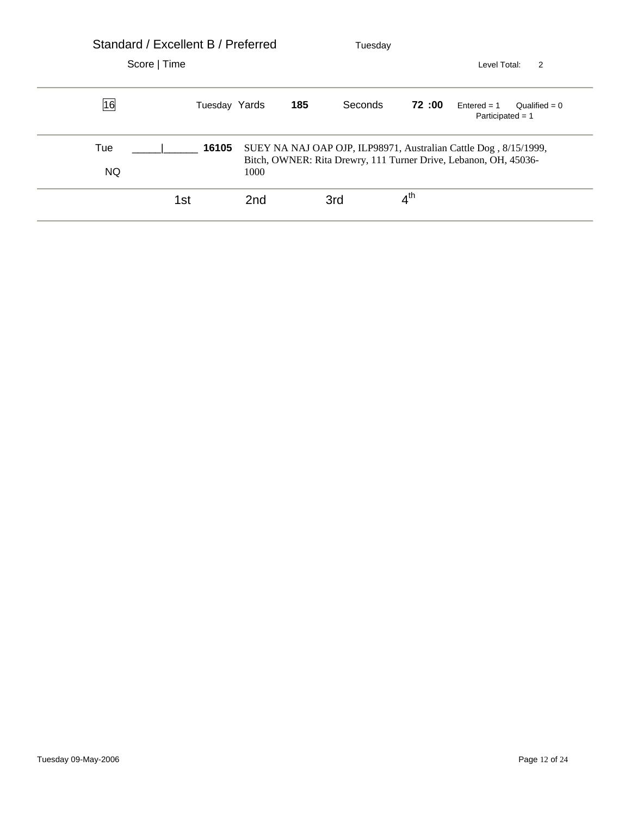| Standard / Excellent B / Preferred |               |                 |     | Tuesday |                   |                                                                                                                                      |  |
|------------------------------------|---------------|-----------------|-----|---------|-------------------|--------------------------------------------------------------------------------------------------------------------------------------|--|
| Score   Time                       |               |                 |     |         | Level Total:<br>2 |                                                                                                                                      |  |
| 16                                 | Tuesday Yards |                 | 185 | Seconds | 72:00             | $Entered = 1$<br>Qualified = $0$<br>Participated = $1$                                                                               |  |
| Tue<br><b>NQ</b>                   | 16105         | 1000            |     |         |                   | SUEY NA NAJ OAP OJP, ILP98971, Australian Cattle Dog, 8/15/1999,<br>Bitch, OWNER: Rita Drewry, 111 Turner Drive, Lebanon, OH, 45036- |  |
|                                    | 1st           | 2 <sub>nd</sub> |     | 3rd     | 4 <sup>th</sup>   |                                                                                                                                      |  |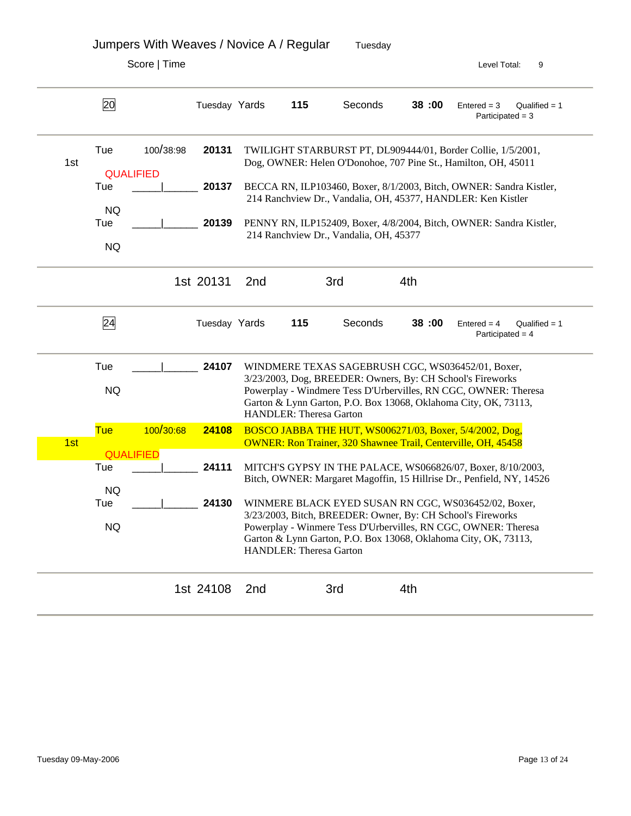|     |                               | Score   Time |               |                 |                         |                                        |     |       | Level Total:<br>9                                                                                                                                                                                                                                        |
|-----|-------------------------------|--------------|---------------|-----------------|-------------------------|----------------------------------------|-----|-------|----------------------------------------------------------------------------------------------------------------------------------------------------------------------------------------------------------------------------------------------------------|
|     | 20                            |              | Tuesday Yards |                 | 115                     | Seconds                                |     | 38:00 | Qualified $= 1$<br>$Entered = 3$<br>Participated = $3$                                                                                                                                                                                                   |
| 1st | Tue                           | 100/38:98    | 20131         |                 |                         |                                        |     |       | TWILIGHT STARBURST PT, DL909444/01, Border Collie, 1/5/2001,<br>Dog, OWNER: Helen O'Donohoe, 707 Pine St., Hamilton, OH, 45011                                                                                                                           |
|     | <b>QUALIFIED</b><br>Tue       |              | 20137         |                 |                         |                                        |     |       | BECCA RN, ILP103460, Boxer, 8/1/2003, Bitch, OWNER: Sandra Kistler,<br>214 Ranchview Dr., Vandalia, OH, 45377, HANDLER: Ken Kistler                                                                                                                      |
|     | <b>NQ</b><br>Tue<br><b>NQ</b> |              | 20139         |                 |                         | 214 Ranchview Dr., Vandalia, OH, 45377 |     |       | PENNY RN, ILP152409, Boxer, 4/8/2004, Bitch, OWNER: Sandra Kistler,                                                                                                                                                                                      |
|     |                               |              | 1st 20131     | 2 <sub>nd</sub> |                         | 3rd                                    | 4th |       |                                                                                                                                                                                                                                                          |
|     | $\overline{24}$               |              | Tuesday Yards |                 | 115                     | Seconds                                |     | 38:00 | $Entered = 4$<br>Qualified $= 1$<br>Participated = $4$                                                                                                                                                                                                   |
|     | Tue<br><b>NQ</b>              |              | 24107         |                 | HANDLER: Theresa Garton |                                        |     |       | WINDMERE TEXAS SAGEBRUSH CGC, WS036452/01, Boxer,<br>3/23/2003, Dog, BREEDER: Owners, By: CH School's Fireworks<br>Powerplay - Windmere Tess D'Urbervilles, RN CGC, OWNER: Theresa<br>Garton & Lynn Garton, P.O. Box 13068, Oklahoma City, OK, 73113,    |
| 1st | <b>Tue</b>                    | 100/30:68    | 24108         |                 |                         |                                        |     |       | BOSCO JABBA THE HUT, WS006271/03, Boxer, 5/4/2002, Dog,<br><b>OWNER: Ron Trainer, 320 Shawnee Trail, Centerville, OH, 45458</b>                                                                                                                          |
|     | <b>QUALIFIED</b><br>Tue       |              | 24111         |                 |                         |                                        |     |       | MITCH'S GYPSY IN THE PALACE, WS066826/07, Boxer, 8/10/2003,<br>Bitch, OWNER: Margaret Magoffin, 15 Hillrise Dr., Penfield, NY, 14526                                                                                                                     |
|     | <b>NO</b><br>Tue<br><b>NQ</b> |              | 24130         |                 | HANDLER: Theresa Garton |                                        |     |       | WINMERE BLACK EYED SUSAN RN CGC, WS036452/02, Boxer,<br>3/23/2003, Bitch, BREEDER: Owner, By: CH School's Fireworks<br>Powerplay - Winmere Tess D'Urbervilles, RN CGC, OWNER: Theresa<br>Garton & Lynn Garton, P.O. Box 13068, Oklahoma City, OK, 73113, |
|     |                               |              |               |                 |                         |                                        |     |       |                                                                                                                                                                                                                                                          |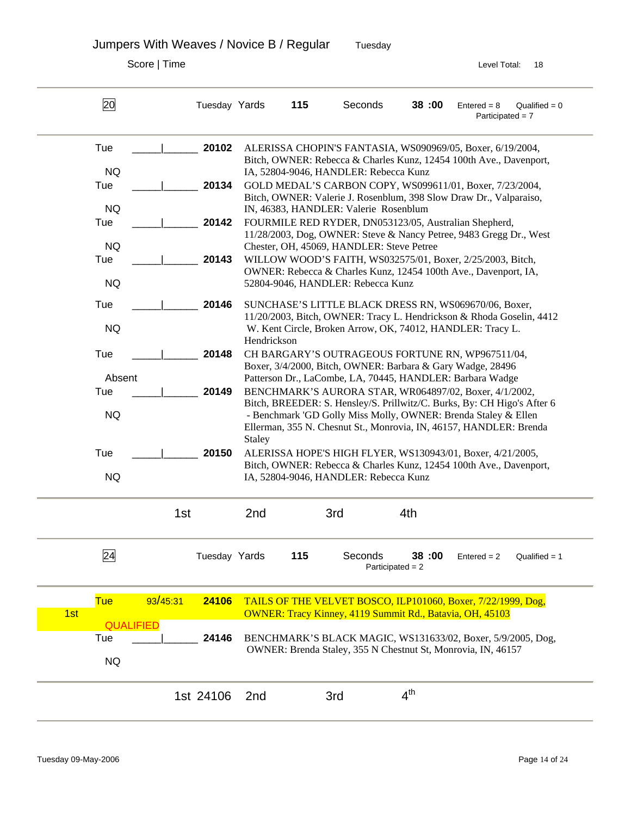Jumpers With Weaves / Novice B / Regular Tuesday

| 20        |                                                                                                                                                                   | Tuesday Yards    |                                                                    | 115                            | Seconds     | 38:00           | $Entered = 8$<br>$Qualified = 0$<br>Participated $= 7$                                                                                                                                                                                                                                                                                                                                                                                                                                                                                                                                                                                                                                                                                                                                                                                                                                                                                                                                                                                                                                                                                                                                                                                                                                                                                                                                                                                                                                                                                                                                                                                                                                                                                                           |  |  |
|-----------|-------------------------------------------------------------------------------------------------------------------------------------------------------------------|------------------|--------------------------------------------------------------------|--------------------------------|-------------|-----------------|------------------------------------------------------------------------------------------------------------------------------------------------------------------------------------------------------------------------------------------------------------------------------------------------------------------------------------------------------------------------------------------------------------------------------------------------------------------------------------------------------------------------------------------------------------------------------------------------------------------------------------------------------------------------------------------------------------------------------------------------------------------------------------------------------------------------------------------------------------------------------------------------------------------------------------------------------------------------------------------------------------------------------------------------------------------------------------------------------------------------------------------------------------------------------------------------------------------------------------------------------------------------------------------------------------------------------------------------------------------------------------------------------------------------------------------------------------------------------------------------------------------------------------------------------------------------------------------------------------------------------------------------------------------------------------------------------------------------------------------------------------------|--|--|
|           |                                                                                                                                                                   | 20102            |                                                                    |                                |             |                 |                                                                                                                                                                                                                                                                                                                                                                                                                                                                                                                                                                                                                                                                                                                                                                                                                                                                                                                                                                                                                                                                                                                                                                                                                                                                                                                                                                                                                                                                                                                                                                                                                                                                                                                                                                  |  |  |
|           |                                                                                                                                                                   |                  |                                                                    |                                |             |                 |                                                                                                                                                                                                                                                                                                                                                                                                                                                                                                                                                                                                                                                                                                                                                                                                                                                                                                                                                                                                                                                                                                                                                                                                                                                                                                                                                                                                                                                                                                                                                                                                                                                                                                                                                                  |  |  |
|           |                                                                                                                                                                   | 20134            |                                                                    |                                |             |                 |                                                                                                                                                                                                                                                                                                                                                                                                                                                                                                                                                                                                                                                                                                                                                                                                                                                                                                                                                                                                                                                                                                                                                                                                                                                                                                                                                                                                                                                                                                                                                                                                                                                                                                                                                                  |  |  |
|           |                                                                                                                                                                   |                  |                                                                    |                                |             |                 |                                                                                                                                                                                                                                                                                                                                                                                                                                                                                                                                                                                                                                                                                                                                                                                                                                                                                                                                                                                                                                                                                                                                                                                                                                                                                                                                                                                                                                                                                                                                                                                                                                                                                                                                                                  |  |  |
|           |                                                                                                                                                                   |                  |                                                                    |                                |             |                 |                                                                                                                                                                                                                                                                                                                                                                                                                                                                                                                                                                                                                                                                                                                                                                                                                                                                                                                                                                                                                                                                                                                                                                                                                                                                                                                                                                                                                                                                                                                                                                                                                                                                                                                                                                  |  |  |
|           |                                                                                                                                                                   |                  |                                                                    |                                |             |                 |                                                                                                                                                                                                                                                                                                                                                                                                                                                                                                                                                                                                                                                                                                                                                                                                                                                                                                                                                                                                                                                                                                                                                                                                                                                                                                                                                                                                                                                                                                                                                                                                                                                                                                                                                                  |  |  |
| <b>NQ</b> |                                                                                                                                                                   |                  |                                                                    |                                |             |                 |                                                                                                                                                                                                                                                                                                                                                                                                                                                                                                                                                                                                                                                                                                                                                                                                                                                                                                                                                                                                                                                                                                                                                                                                                                                                                                                                                                                                                                                                                                                                                                                                                                                                                                                                                                  |  |  |
|           |                                                                                                                                                                   | 20143            |                                                                    |                                |             |                 |                                                                                                                                                                                                                                                                                                                                                                                                                                                                                                                                                                                                                                                                                                                                                                                                                                                                                                                                                                                                                                                                                                                                                                                                                                                                                                                                                                                                                                                                                                                                                                                                                                                                                                                                                                  |  |  |
|           |                                                                                                                                                                   |                  |                                                                    |                                |             |                 |                                                                                                                                                                                                                                                                                                                                                                                                                                                                                                                                                                                                                                                                                                                                                                                                                                                                                                                                                                                                                                                                                                                                                                                                                                                                                                                                                                                                                                                                                                                                                                                                                                                                                                                                                                  |  |  |
|           |                                                                                                                                                                   |                  |                                                                    |                                |             |                 |                                                                                                                                                                                                                                                                                                                                                                                                                                                                                                                                                                                                                                                                                                                                                                                                                                                                                                                                                                                                                                                                                                                                                                                                                                                                                                                                                                                                                                                                                                                                                                                                                                                                                                                                                                  |  |  |
|           |                                                                                                                                                                   |                  |                                                                    |                                |             |                 |                                                                                                                                                                                                                                                                                                                                                                                                                                                                                                                                                                                                                                                                                                                                                                                                                                                                                                                                                                                                                                                                                                                                                                                                                                                                                                                                                                                                                                                                                                                                                                                                                                                                                                                                                                  |  |  |
|           |                                                                                                                                                                   |                  |                                                                    |                                |             |                 |                                                                                                                                                                                                                                                                                                                                                                                                                                                                                                                                                                                                                                                                                                                                                                                                                                                                                                                                                                                                                                                                                                                                                                                                                                                                                                                                                                                                                                                                                                                                                                                                                                                                                                                                                                  |  |  |
|           |                                                                                                                                                                   |                  |                                                                    |                                |             |                 |                                                                                                                                                                                                                                                                                                                                                                                                                                                                                                                                                                                                                                                                                                                                                                                                                                                                                                                                                                                                                                                                                                                                                                                                                                                                                                                                                                                                                                                                                                                                                                                                                                                                                                                                                                  |  |  |
|           |                                                                                                                                                                   | 20148            |                                                                    |                                |             |                 |                                                                                                                                                                                                                                                                                                                                                                                                                                                                                                                                                                                                                                                                                                                                                                                                                                                                                                                                                                                                                                                                                                                                                                                                                                                                                                                                                                                                                                                                                                                                                                                                                                                                                                                                                                  |  |  |
|           |                                                                                                                                                                   |                  |                                                                    |                                |             |                 |                                                                                                                                                                                                                                                                                                                                                                                                                                                                                                                                                                                                                                                                                                                                                                                                                                                                                                                                                                                                                                                                                                                                                                                                                                                                                                                                                                                                                                                                                                                                                                                                                                                                                                                                                                  |  |  |
|           |                                                                                                                                                                   |                  |                                                                    |                                |             |                 |                                                                                                                                                                                                                                                                                                                                                                                                                                                                                                                                                                                                                                                                                                                                                                                                                                                                                                                                                                                                                                                                                                                                                                                                                                                                                                                                                                                                                                                                                                                                                                                                                                                                                                                                                                  |  |  |
|           |                                                                                                                                                                   |                  |                                                                    |                                |             |                 |                                                                                                                                                                                                                                                                                                                                                                                                                                                                                                                                                                                                                                                                                                                                                                                                                                                                                                                                                                                                                                                                                                                                                                                                                                                                                                                                                                                                                                                                                                                                                                                                                                                                                                                                                                  |  |  |
|           |                                                                                                                                                                   |                  |                                                                    |                                |             |                 |                                                                                                                                                                                                                                                                                                                                                                                                                                                                                                                                                                                                                                                                                                                                                                                                                                                                                                                                                                                                                                                                                                                                                                                                                                                                                                                                                                                                                                                                                                                                                                                                                                                                                                                                                                  |  |  |
|           |                                                                                                                                                                   |                  |                                                                    |                                |             |                 |                                                                                                                                                                                                                                                                                                                                                                                                                                                                                                                                                                                                                                                                                                                                                                                                                                                                                                                                                                                                                                                                                                                                                                                                                                                                                                                                                                                                                                                                                                                                                                                                                                                                                                                                                                  |  |  |
|           |                                                                                                                                                                   |                  | Bitch, OWNER: Rebecca & Charles Kunz, 12454 100th Ave., Davenport, |                                |             |                 |                                                                                                                                                                                                                                                                                                                                                                                                                                                                                                                                                                                                                                                                                                                                                                                                                                                                                                                                                                                                                                                                                                                                                                                                                                                                                                                                                                                                                                                                                                                                                                                                                                                                                                                                                                  |  |  |
| <b>NQ</b> |                                                                                                                                                                   |                  |                                                                    |                                |             |                 |                                                                                                                                                                                                                                                                                                                                                                                                                                                                                                                                                                                                                                                                                                                                                                                                                                                                                                                                                                                                                                                                                                                                                                                                                                                                                                                                                                                                                                                                                                                                                                                                                                                                                                                                                                  |  |  |
|           |                                                                                                                                                                   |                  | 2nd                                                                |                                | 3rd         | 4th             |                                                                                                                                                                                                                                                                                                                                                                                                                                                                                                                                                                                                                                                                                                                                                                                                                                                                                                                                                                                                                                                                                                                                                                                                                                                                                                                                                                                                                                                                                                                                                                                                                                                                                                                                                                  |  |  |
| 24        |                                                                                                                                                                   |                  |                                                                    | 115                            | Seconds     | 38:00           | Qualified $= 1$<br>$Entered = 2$                                                                                                                                                                                                                                                                                                                                                                                                                                                                                                                                                                                                                                                                                                                                                                                                                                                                                                                                                                                                                                                                                                                                                                                                                                                                                                                                                                                                                                                                                                                                                                                                                                                                                                                                 |  |  |
|           | 93/45:31                                                                                                                                                          | 24106            |                                                                    |                                |             |                 |                                                                                                                                                                                                                                                                                                                                                                                                                                                                                                                                                                                                                                                                                                                                                                                                                                                                                                                                                                                                                                                                                                                                                                                                                                                                                                                                                                                                                                                                                                                                                                                                                                                                                                                                                                  |  |  |
|           |                                                                                                                                                                   |                  |                                                                    |                                |             |                 |                                                                                                                                                                                                                                                                                                                                                                                                                                                                                                                                                                                                                                                                                                                                                                                                                                                                                                                                                                                                                                                                                                                                                                                                                                                                                                                                                                                                                                                                                                                                                                                                                                                                                                                                                                  |  |  |
|           |                                                                                                                                                                   | 24146            |                                                                    |                                |             |                 |                                                                                                                                                                                                                                                                                                                                                                                                                                                                                                                                                                                                                                                                                                                                                                                                                                                                                                                                                                                                                                                                                                                                                                                                                                                                                                                                                                                                                                                                                                                                                                                                                                                                                                                                                                  |  |  |
|           |                                                                                                                                                                   |                  |                                                                    |                                |             |                 |                                                                                                                                                                                                                                                                                                                                                                                                                                                                                                                                                                                                                                                                                                                                                                                                                                                                                                                                                                                                                                                                                                                                                                                                                                                                                                                                                                                                                                                                                                                                                                                                                                                                                                                                                                  |  |  |
|           |                                                                                                                                                                   |                  |                                                                    |                                |             |                 |                                                                                                                                                                                                                                                                                                                                                                                                                                                                                                                                                                                                                                                                                                                                                                                                                                                                                                                                                                                                                                                                                                                                                                                                                                                                                                                                                                                                                                                                                                                                                                                                                                                                                                                                                                  |  |  |
|           |                                                                                                                                                                   | 1st 24106        | 2nd                                                                |                                | 3rd         | 4 <sup>th</sup> |                                                                                                                                                                                                                                                                                                                                                                                                                                                                                                                                                                                                                                                                                                                                                                                                                                                                                                                                                                                                                                                                                                                                                                                                                                                                                                                                                                                                                                                                                                                                                                                                                                                                                                                                                                  |  |  |
|           | Tue<br><b>NQ</b><br>Tue<br><b>NQ</b><br>Tue<br>Tue<br><b>NQ</b><br>Tue<br><b>NQ</b><br>Tue<br>Absent<br>Tue<br><b>NQ</b><br>Tue<br><b>Tue</b><br>Tue<br><b>NQ</b> | <b>QUALIFIED</b> | 20142<br>20146<br>20149<br>20150<br>1st                            | <b>Staley</b><br>Tuesday Yards | Hendrickson |                 | ALERISSA CHOPIN'S FANTASIA, WS090969/05, Boxer, 6/19/2004,<br>Bitch, OWNER: Rebecca & Charles Kunz, 12454 100th Ave., Davenport,<br>IA, 52804-9046, HANDLER: Rebecca Kunz<br>GOLD MEDAL'S CARBON COPY, WS099611/01, Boxer, 7/23/2004,<br>Bitch, OWNER: Valerie J. Rosenblum, 398 Slow Draw Dr., Valparaiso,<br>IN, 46383, HANDLER: Valerie Rosenblum<br>FOURMILE RED RYDER, DN053123/05, Australian Shepherd,<br>11/28/2003, Dog, OWNER: Steve & Nancy Petree, 9483 Gregg Dr., West<br>Chester, OH, 45069, HANDLER: Steve Petree<br>WILLOW WOOD'S FAITH, WS032575/01, Boxer, 2/25/2003, Bitch,<br>OWNER: Rebecca & Charles Kunz, 12454 100th Ave., Davenport, IA,<br>52804-9046, HANDLER: Rebecca Kunz<br>SUNCHASE'S LITTLE BLACK DRESS RN, WS069670/06, Boxer,<br>11/20/2003, Bitch, OWNER: Tracy L. Hendrickson & Rhoda Goselin, 4412<br>W. Kent Circle, Broken Arrow, OK, 74012, HANDLER: Tracy L.<br>CH BARGARY'S OUTRAGEOUS FORTUNE RN, WP967511/04,<br>Boxer, 3/4/2000, Bitch, OWNER: Barbara & Gary Wadge, 28496<br>Patterson Dr., LaCombe, LA, 70445, HANDLER: Barbara Wadge<br>BENCHMARK'S AURORA STAR, WR064897/02, Boxer, 4/1/2002,<br>Bitch, BREEDER: S. Hensley/S. Prillwitz/C. Burks, By: CH Higo's After 6<br>- Benchmark 'GD Golly Miss Molly, OWNER: Brenda Staley & Ellen<br>Ellerman, 355 N. Chesnut St., Monrovia, IN, 46157, HANDLER: Brenda<br>ALERISSA HOPE'S HIGH FLYER, WS130943/01, Boxer, 4/21/2005,<br>IA, 52804-9046, HANDLER: Rebecca Kunz<br>Participated = $2$<br>TAILS OF THE VELVET BOSCO, ILP101060, Boxer, 7/22/1999, Dog,<br><b>OWNER: Tracy Kinney, 4119 Summit Rd., Batavia, OH, 45103</b><br>BENCHMARK'S BLACK MAGIC, WS131633/02, Boxer, 5/9/2005, Dog,<br>OWNER: Brenda Staley, 355 N Chestnut St, Monrovia, IN, 46157 |  |  |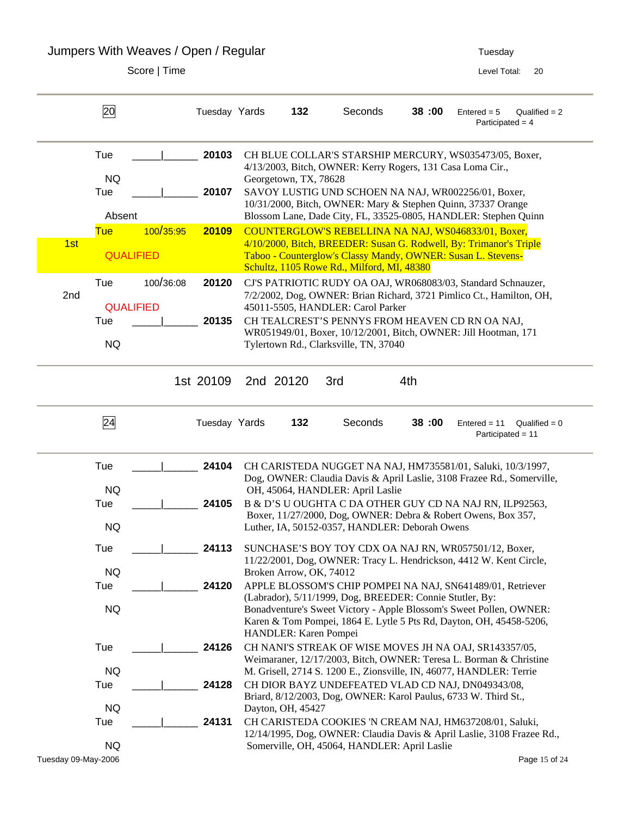Jumpers With Weaves / Open / Regular Tuesday 7 uses and the Superior States of Tuesday

|                     | 20                                    |           | Tuesday Yards  | 132                     | Seconds                                                                            |     | 38:00 | $Entered = 5$<br>Participated = $4$                                                                                                                                                                                                                        | Qualified $= 2$ |
|---------------------|---------------------------------------|-----------|----------------|-------------------------|------------------------------------------------------------------------------------|-----|-------|------------------------------------------------------------------------------------------------------------------------------------------------------------------------------------------------------------------------------------------------------------|-----------------|
|                     | Tue<br><b>NQ</b><br>Tue               |           | 20103<br>20107 | Georgetown, TX, 78628   |                                                                                    |     |       | CH BLUE COLLAR'S STARSHIP MERCURY, WS035473/05, Boxer,<br>4/13/2003, Bitch, OWNER: Kerry Rogers, 131 Casa Loma Cir.,<br>SAVOY LUSTIG UND SCHOEN NA NAJ, WR002256/01, Boxer,                                                                                |                 |
|                     | Absent                                |           |                |                         |                                                                                    |     |       | 10/31/2000, Bitch, OWNER: Mary & Stephen Quinn, 37337 Orange<br>Blossom Lane, Dade City, FL, 33525-0805, HANDLER: Stephen Quinn                                                                                                                            |                 |
| 1st                 | <b>Tue</b><br><b>QUALIFIED</b>        | 100/35:95 | 20109          |                         | Schultz, 1105 Rowe Rd., Milford, MI, 48380                                         |     |       | COUNTERGLOW'S REBELLINA NA NAJ, WS046833/01, Boxer,<br>4/10/2000, Bitch, BREEDER: Susan G. Rodwell, By: Trimanor's Triple<br>Taboo - Counterglow's Classy Mandy, OWNER: Susan L. Stevens-                                                                  |                 |
| 2nd                 | Tue<br><b>QUALIFIED</b><br>Tue<br>NQ. | 100/36:08 | 20120<br>20135 |                         | 45011-5505, HANDLER: Carol Parker<br>Tylertown Rd., Clarksville, TN, 37040         |     |       | CJ'S PATRIOTIC RUDY OA OAJ, WR068083/03, Standard Schnauzer,<br>7/2/2002, Dog, OWNER: Brian Richard, 3721 Pimlico Ct., Hamilton, OH,<br>CH TEALCREST'S PENNYS FROM HEAVEN CD RN OA NAJ,<br>WR051949/01, Boxer, 10/12/2001, Bitch, OWNER: Jill Hootman, 171 |                 |
|                     |                                       |           | 1st 20109      | 2nd 20120               | 3rd                                                                                | 4th |       |                                                                                                                                                                                                                                                            |                 |
|                     | $\overline{24}$                       |           | Tuesday Yards  | 132                     | Seconds                                                                            |     | 38:00 | $Entered = 11$<br>Participated = 11                                                                                                                                                                                                                        | Qualified = $0$ |
|                     | Tue                                   |           | 24104          |                         |                                                                                    |     |       | CH CARISTEDA NUGGET NA NAJ, HM735581/01, Saluki, 10/3/1997,<br>Dog, OWNER: Claudia Davis & April Laslie, 3108 Frazee Rd., Somerville,                                                                                                                      |                 |
|                     | <b>NQ</b><br>Tue<br><b>NQ</b>         |           | 24105          |                         | OH, 45064, HANDLER: April Laslie<br>Luther, IA, 50152-0357, HANDLER: Deborah Owens |     |       | B & D'S U OUGHTA C DA OTHER GUY CD NA NAJ RN, ILP92563,<br>Boxer, 11/27/2000, Dog, OWNER: Debra & Robert Owens, Box 357,                                                                                                                                   |                 |
|                     | Tue<br>NQ.                            |           | 24113          | Broken Arrow, OK, 74012 |                                                                                    |     |       | SUNCHASE'S BOY TOY CDX OA NAJ RN, WR057501/12, Boxer,<br>11/22/2001, Dog, OWNER: Tracy L. Hendrickson, 4412 W. Kent Circle,                                                                                                                                |                 |
|                     | Tue<br>NQ.                            |           | 24120          | HANDLER: Karen Pompei   | (Labrador), 5/11/1999, Dog, BREEDER: Connie Stutler, By:                           |     |       | APPLE BLOSSOM'S CHIP POMPEI NA NAJ, SN641489/01, Retriever<br>Bonadventure's Sweet Victory - Apple Blossom's Sweet Pollen, OWNER:<br>Karen & Tom Pompei, 1864 E. Lytle 5 Pts Rd, Dayton, OH, 45458-5206,                                                   |                 |
|                     | Tue<br><b>NQ</b>                      |           | 24126          |                         |                                                                                    |     |       | CH NANI'S STREAK OF WISE MOVES JH NA OAJ, SR143357/05,<br>Weimaraner, 12/17/2003, Bitch, OWNER: Teresa L. Borman & Christine<br>M. Grisell, 2714 S. 1200 E., Zionsville, IN, 46077, HANDLER: Terrie                                                        |                 |
|                     | Tue<br>NQ.                            |           | 24128          | Dayton, OH, 45427       |                                                                                    |     |       | CH DIOR BAYZ UNDEFEATED VLAD CD NAJ, DN049343/08,<br>Briard, 8/12/2003, Dog, OWNER: Karol Paulus, 6733 W. Third St.,                                                                                                                                       |                 |
| Tuesday 09-May-2006 | Tue<br><b>NQ</b>                      |           | 24131          |                         | Somerville, OH, 45064, HANDLER: April Laslie                                       |     |       | CH CARISTEDA COOKIES 'N CREAM NAJ, HM637208/01, Saluki,<br>12/14/1995, Dog, OWNER: Claudia Davis & April Laslie, 3108 Frazee Rd.,                                                                                                                          | Page 15 of 24   |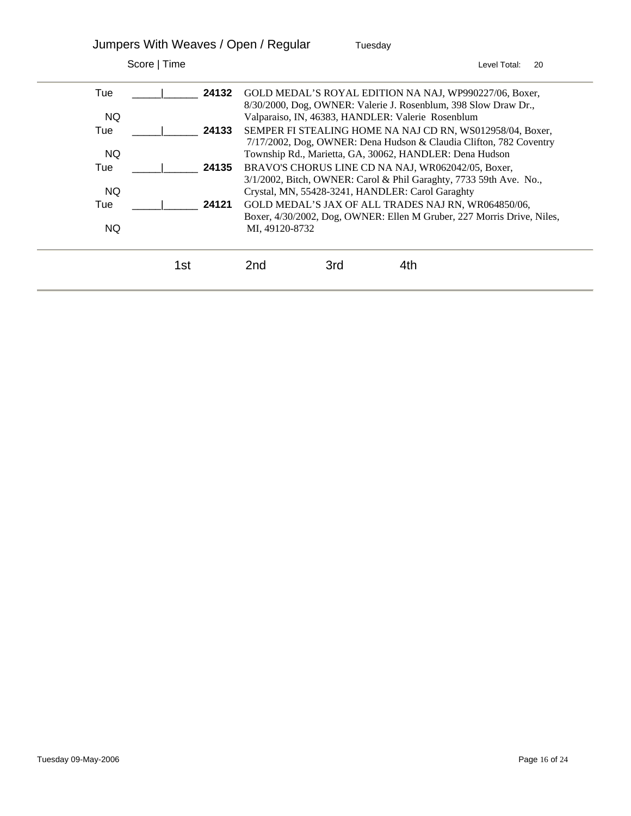|              | Jumpers With Weaves / Open / Regular |                |     | Tuesday                                                                                                                         |              |    |
|--------------|--------------------------------------|----------------|-----|---------------------------------------------------------------------------------------------------------------------------------|--------------|----|
| Score   Time |                                      |                |     |                                                                                                                                 | Level Total: | 20 |
| Tue          | 24132                                |                |     | GOLD MEDAL'S ROYAL EDITION NA NAJ, WP990227/06, Boxer,<br>8/30/2000, Dog, OWNER: Valerie J. Rosenblum, 398 Slow Draw Dr.,       |              |    |
| NQ.          |                                      |                |     | Valparaiso, IN, 46383, HANDLER: Valerie Rosenblum                                                                               |              |    |
| Tue          | 24133                                |                |     | SEMPER FI STEALING HOME NA NAJ CD RN, WS012958/04, Boxer,<br>7/17/2002, Dog, OWNER: Dena Hudson & Claudia Clifton, 782 Coventry |              |    |
| NQ.          |                                      |                |     | Township Rd., Marietta, GA, 30062, HANDLER: Dena Hudson                                                                         |              |    |
| Tue          | 24135                                |                |     | BRAVO'S CHORUS LINE CD NA NAJ, WR062042/05, Boxer,<br>3/1/2002, Bitch, OWNER: Carol & Phil Garaghty, 7733 59th Ave. No.,        |              |    |
| NQ.          |                                      |                |     | Crystal, MN, 55428-3241, HANDLER: Carol Garaghty                                                                                |              |    |
| Tue          | 24121                                |                |     | GOLD MEDAL'S JAX OF ALL TRADES NAJ RN, WR064850/06,<br>Boxer, 4/30/2002, Dog, OWNER: Ellen M Gruber, 227 Morris Drive, Niles,   |              |    |
| NQ.          |                                      | MI, 49120-8732 |     |                                                                                                                                 |              |    |
|              | 1st                                  | 2nd            | 3rd | 4th                                                                                                                             |              |    |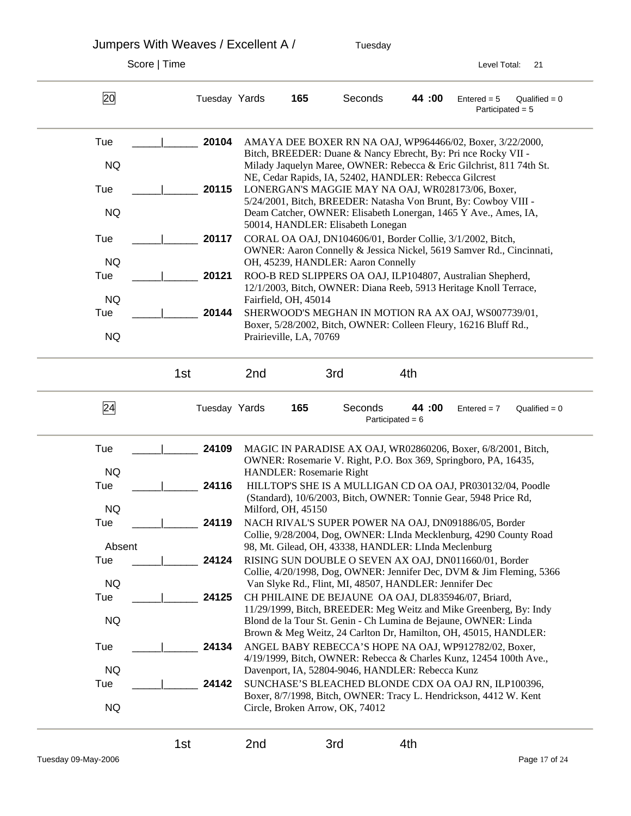Jumpers With Weaves / Excellent A / Tuesday

Score | Time Level Total: 21

20 Tuesday Yards **165** Seconds **44 :00** Entered = 5 Qualified = 0 Participated = 5 Tue \_\_\_\_\_|\_\_\_\_\_\_ **20104** AMAYA DEE BOXER RN NA OAJ, WP964466/02, Boxer, 3/22/2000, Bitch, BREEDER: Duane & Nancy Ebrecht, By: Pri nce Rocky VII - NQ Milady Jaquelyn Maree, OWNER: Rebecca & Eric Gilchrist, 811 74th St. NE, Cedar Rapids, IA, 52402, HANDLER: Rebecca Gilcrest Tue  $\vert$  **20115** LONERGAN'S MAGGIE MAY NA OAJ, WR028173/06, Boxer, 5/24/2001, Bitch, BREEDER: Natasha Von Brunt, By: Cowboy VIII - NQ Deam Catcher, OWNER: Elisabeth Lonergan, 1465 Y Ave., Ames, IA, 50014, HANDLER: Elisabeth Lonegan Tue \_\_\_\_\_|\_\_\_\_\_\_ **20117** CORAL OA OAJ, DN104606/01, Border Collie, 3/1/2002, Bitch, OWNER: Aaron Connelly & Jessica Nickel, 5619 Samver Rd., Cincinnati, NQ OH, 45239, HANDLER: Aaron Connelly Tue \_\_\_\_\_|\_\_\_\_\_\_ **20121** ROO-B RED SLIPPERS OA OAJ, ILP104807, Australian Shepherd, 12/1/2003, Bitch, OWNER: Diana Reeb, 5913 Heritage Knoll Terrace, NQ Fairfield, OH, 45014 Tue  $\vert$  **20144** SHERWOOD'S MEGHAN IN MOTION RA AX OAJ, WS007739/01, Boxer, 5/28/2002, Bitch, OWNER: Colleen Fleury, 16216 Bluff Rd., NQ Prairieville, LA, 70769 1st 2nd 3rd 4th 24 Tuesday Yards **165** Seconds **44 :00** Entered = 7 Qualified = 0 Participated  $= 6$ Tue \_\_\_\_\_|\_\_\_\_\_\_ **24109** MAGIC IN PARADISE AX OAJ, WR02860206, Boxer, 6/8/2001, Bitch, OWNER: Rosemarie V. Right, P.O. Box 369, Springboro, PA, 16435, NQ HANDLER: Rosemarie Right Tue  $\vert$  **24116** HILLTOP'S SHE IS A MULLIGAN CD OA OAJ, PR030132/04, Poodle (Standard), 10/6/2003, Bitch, OWNER: Tonnie Gear, 5948 Price Rd, NQ Milford, OH, 45150 Tue  $\vert$  **24119** NACH RIVAL'S SUPER POWER NA OAJ, DN091886/05, Border Collie, 9/28/2004, Dog, OWNER: LInda Mecklenburg, 4290 County Road Absent 98, Mt. Gilead, OH, 43338, HANDLER: LInda Meclenburg Tue  $\vert$  **24124** RISING SUN DOUBLE O SEVEN AX OAJ, DN011660/01, Border Collie, 4/20/1998, Dog, OWNER: Jennifer Dec, DVM & Jim Fleming, 5366 NQ Van Slyke Rd., Flint, MI, 48507, HANDLER: Jennifer Dec Tue <sup>1</sup> 24125 CH PHILAINE DE BEJAUNE OA OAJ, DL835946/07, Briard, 11/29/1999, Bitch, BREEDER: Meg Weitz and Mike Greenberg, By: Indy NQ Blond de la Tour St. Genin - Ch Lumina de Bejaune, OWNER: Linda Brown & Meg Weitz, 24 Carlton Dr, Hamilton, OH, 45015, HANDLER: Tue  $\vert$  **24134** ANGEL BABY REBECCA'S HOPE NA OAJ, WP912782/02, Boxer, 4/19/1999, Bitch, OWNER: Rebecca & Charles Kunz, 12454 100th Ave., NQ Davenport, IA, 52804-9046, HANDLER: Rebecca Kunz Tue \_\_\_\_\_|\_\_\_\_\_\_ **24142** SUNCHASE'S BLEACHED BLONDE CDX OA OAJ RN, ILP100396, Boxer, 8/7/1998, Bitch, OWNER: Tracy L. Hendrickson, 4412 W. Kent NQ Circle, Broken Arrow, OK, 74012 1st 2nd 3rd 4th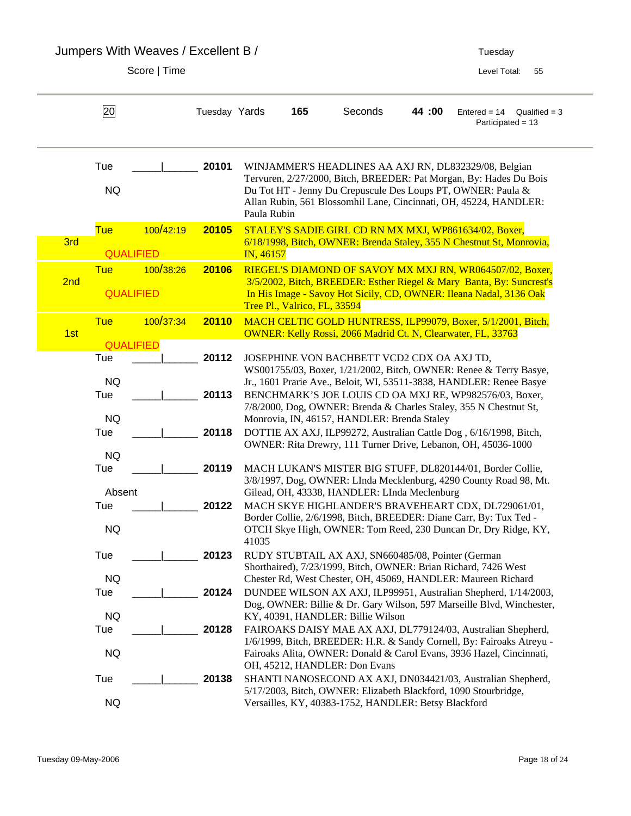Jumpers With Weaves / Excellent B / Tuesday

|     | 20                             |           | Tuesday Yards |             | 165                          | Seconds                                                                               | 44 :00 | $Entered = 14$<br>$Qualified = 3$<br>Participated = 13                                                                                                                                                                                                           |
|-----|--------------------------------|-----------|---------------|-------------|------------------------------|---------------------------------------------------------------------------------------|--------|------------------------------------------------------------------------------------------------------------------------------------------------------------------------------------------------------------------------------------------------------------------|
|     | Tue<br><b>NQ</b>               |           | 20101         | Paula Rubin |                              |                                                                                       |        | WINJAMMER'S HEADLINES AA AXJ RN, DL832329/08, Belgian<br>Tervuren, 2/27/2000, Bitch, BREEDER: Pat Morgan, By: Hades Du Bois<br>Du Tot HT - Jenny Du Crepuscule Des Loups PT, OWNER: Paula &<br>Allan Rubin, 561 Blossomhil Lane, Cincinnati, OH, 45224, HANDLER: |
| 3rd | <b>Tue</b><br><b>QUALIFIED</b> | 100/42:19 | 20105         | IN, 46157   |                              |                                                                                       |        | STALEY'S SADIE GIRL CD RN MX MXJ, WP861634/02, Boxer,<br>6/18/1998, Bitch, OWNER: Brenda Staley, 355 N Chestnut St, Monrovia,                                                                                                                                    |
| 2nd | <b>Tue</b><br><b>QUALIFIED</b> | 100/38:26 | 20106         |             | Tree Pl., Valrico, FL, 33594 |                                                                                       |        | RIEGEL'S DIAMOND OF SAVOY MX MXJ RN, WR064507/02, Boxer,<br>3/5/2002, Bitch, BREEDER: Esther Riegel & Mary Banta, By: Suncrest's<br>In His Image - Savoy Hot Sicily, CD, OWNER: Ileana Nadal, 3136 Oak                                                           |
| 1st | <b>Tue</b><br><b>QUALIFIED</b> | 100/37:34 | 20110         |             |                              | <b>OWNER: Kelly Rossi, 2066 Madrid Ct. N, Clearwater, FL, 33763</b>                   |        | MACH CELTIC GOLD HUNTRESS, ILP99079, Boxer, 5/1/2001, Bitch,                                                                                                                                                                                                     |
|     | Tue<br><b>NQ</b>               |           | 20112         |             |                              | JOSEPHINE VON BACHBETT VCD2 CDX OA AXJ TD,                                            |        | WS001755/03, Boxer, 1/21/2002, Bitch, OWNER: Renee & Terry Basye,<br>Jr., 1601 Prarie Ave., Beloit, WI, 53511-3838, HANDLER: Renee Basye                                                                                                                         |
|     | Tue<br><b>NQ</b>               |           | 20113         |             |                              | Monrovia, IN, 46157, HANDLER: Brenda Staley                                           |        | BENCHMARK'S JOE LOUIS CD OA MXJ RE, WP982576/03, Boxer,<br>7/8/2000, Dog, OWNER: Brenda & Charles Staley, 355 N Chestnut St,                                                                                                                                     |
|     | Tue<br><b>NQ</b>               |           | 20118         |             |                              |                                                                                       |        | DOTTIE AX AXJ, ILP99272, Australian Cattle Dog, 6/16/1998, Bitch,<br>OWNER: Rita Drewry, 111 Turner Drive, Lebanon, OH, 45036-1000                                                                                                                               |
|     | Tue<br>Absent                  |           | 20119         |             |                              | Gilead, OH, 43338, HANDLER: LInda Meclenburg                                          |        | MACH LUKAN'S MISTER BIG STUFF, DL820144/01, Border Collie,<br>3/8/1997, Dog, OWNER: LInda Mecklenburg, 4290 County Road 98, Mt.                                                                                                                                  |
|     | Tue<br><b>NQ</b>               |           | 20122         | 41035       |                              |                                                                                       |        | MACH SKYE HIGHLANDER'S BRAVEHEART CDX, DL729061/01,<br>Border Collie, 2/6/1998, Bitch, BREEDER: Diane Carr, By: Tux Ted -<br>OTCH Skye High, OWNER: Tom Reed, 230 Duncan Dr, Dry Ridge, KY,                                                                      |
|     | Tue                            |           | 20123         |             |                              | RUDY STUBTAIL AX AXJ, SN660485/08, Pointer (German                                    |        | Shorthaired), 7/23/1999, Bitch, OWNER: Brian Richard, 7426 West                                                                                                                                                                                                  |
|     | <b>NQ</b><br>Tue               |           | 20124         |             |                              |                                                                                       |        | Chester Rd, West Chester, OH, 45069, HANDLER: Maureen Richard<br>DUNDEE WILSON AX AXJ, ILP99951, Australian Shepherd, 1/14/2003,<br>Dog, OWNER: Billie & Dr. Gary Wilson, 597 Marseille Blvd, Winchester,                                                        |
|     | <b>NQ</b><br>Tue<br><b>NQ</b>  |           | 20128         |             |                              | KY, 40391, HANDLER: Billie Wilson                                                     |        | FAIROAKS DAISY MAE AX AXJ, DL779124/03, Australian Shepherd,<br>1/6/1999, Bitch, BREEDER: H.R. & Sandy Cornell, By: Fairoaks Atreyu -<br>Fairoaks Alita, OWNER: Donald & Carol Evans, 3936 Hazel, Cincinnati,                                                    |
|     | Tue<br><b>NQ</b>               |           | 20138         |             |                              | OH, 45212, HANDLER: Don Evans<br>Versailles, KY, 40383-1752, HANDLER: Betsy Blackford |        | SHANTI NANOSECOND AX AXJ, DN034421/03, Australian Shepherd,<br>5/17/2003, Bitch, OWNER: Elizabeth Blackford, 1090 Stourbridge,                                                                                                                                   |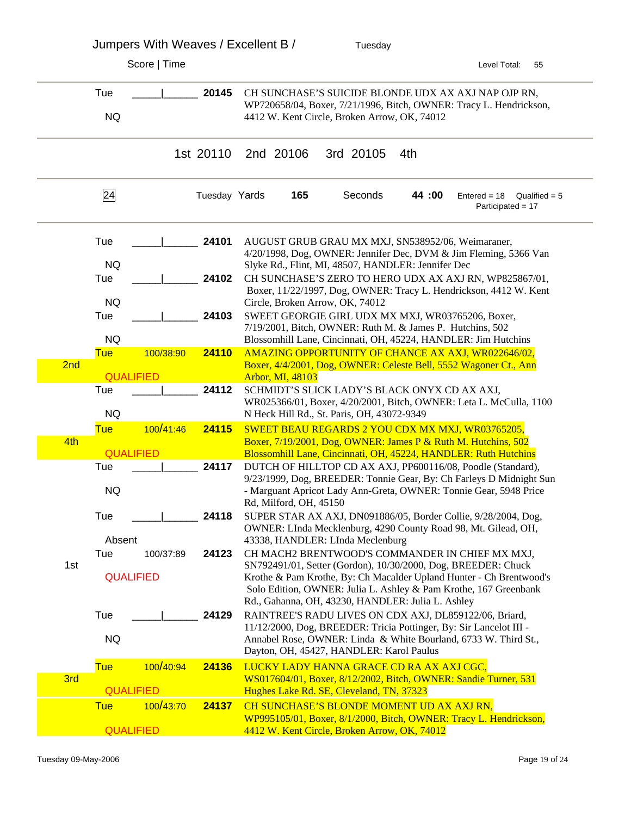|     | Jumpers With Weaves / Excellent B / |           |               |                                 | Tuesday                                            |     |        |                                                                                                                                                                                  |                 |
|-----|-------------------------------------|-----------|---------------|---------------------------------|----------------------------------------------------|-----|--------|----------------------------------------------------------------------------------------------------------------------------------------------------------------------------------|-----------------|
|     | Score   Time                        |           |               |                                 |                                                    |     |        | Level Total:                                                                                                                                                                     | 55              |
|     | Tue<br><b>NQ</b>                    |           | 20145         |                                 | 4412 W. Kent Circle, Broken Arrow, OK, 74012       |     |        | CH SUNCHASE'S SUICIDE BLONDE UDX AX AXJ NAP OJP RN,<br>WP720658/04, Boxer, 7/21/1996, Bitch, OWNER: Tracy L. Hendrickson,                                                        |                 |
|     |                                     |           |               |                                 |                                                    |     |        |                                                                                                                                                                                  |                 |
|     |                                     |           | 1st 20110     | 2nd 20106                       | 3rd 20105                                          | 4th |        |                                                                                                                                                                                  |                 |
|     | 24                                  |           | Tuesday Yards | 165                             | Seconds                                            |     | 44 :00 | $Entered = 18$<br>Participated = 17                                                                                                                                              | Qualified $= 5$ |
|     | Tue                                 |           | 24101         |                                 |                                                    |     |        | AUGUST GRUB GRAU MX MXJ, SN538952/06, Weimaraner,<br>4/20/1998, Dog, OWNER: Jennifer Dec, DVM & Jim Fleming, 5366 Van                                                            |                 |
|     | <b>NQ</b><br>Tue<br><b>NQ</b>       |           | 24102         | Circle, Broken Arrow, OK, 74012 | Slyke Rd., Flint, MI, 48507, HANDLER: Jennifer Dec |     |        | CH SUNCHASE'S ZERO TO HERO UDX AX AXJ RN, WP825867/01,<br>Boxer, 11/22/1997, Dog, OWNER: Tracy L. Hendrickson, 4412 W. Kent                                                      |                 |
|     | Tue<br><b>NQ</b>                    |           | 24103         |                                 |                                                    |     |        | SWEET GEORGIE GIRL UDX MX MXJ, WR03765206, Boxer,<br>7/19/2001, Bitch, OWNER: Ruth M. & James P. Hutchins, 502<br>Blossomhill Lane, Cincinnati, OH, 45224, HANDLER: Jim Hutchins |                 |
|     | <b>Tue</b>                          | 100/38:90 | 24110         |                                 |                                                    |     |        | AMAZING OPPORTUNITY OF CHANCE AX AXJ, WR022646/02,                                                                                                                               |                 |
| 2nd |                                     |           |               |                                 |                                                    |     |        | Boxer, 4/4/2001, Dog, OWNER: Celeste Bell, 5552 Wagoner Ct., Ann                                                                                                                 |                 |
|     | <b>QUALIFIED</b><br>Tue             |           | 24112         | Arbor, MI, 48103                |                                                    |     |        | SCHMIDT'S SLICK LADY'S BLACK ONYX CD AX AXJ,                                                                                                                                     |                 |
|     | <b>NQ</b>                           |           |               |                                 | N Heck Hill Rd., St. Paris, OH, 43072-9349         |     |        | WR025366/01, Boxer, 4/20/2001, Bitch, OWNER: Leta L. McCulla, 1100                                                                                                               |                 |
|     | <b>Tue</b>                          | 100/41:46 | 24115         |                                 |                                                    |     |        | SWEET BEAU REGARDS 2 YOU CDX MX MXJ, WR03765205,                                                                                                                                 |                 |
| 4th | <b>QUALIFIED</b>                    |           |               |                                 |                                                    |     |        | Boxer, 7/19/2001, Dog, OWNER: James P & Ruth M. Hutchins, 502<br>Blossomhill Lane, Cincinnati, OH, 45224, HANDLER: Ruth Hutchins                                                 |                 |
|     | Tue                                 |           | 24117         |                                 |                                                    |     |        | DUTCH OF HILLTOP CD AX AXJ, PP600116/08, Poodle (Standard),                                                                                                                      |                 |
|     | <b>NQ</b>                           |           |               |                                 |                                                    |     |        | 9/23/1999, Dog, BREEDER: Tonnie Gear, By: Ch Farleys D Midnight Sun<br>- Marguant Apricot Lady Ann-Greta, OWNER: Tonnie Gear, 5948 Price                                         |                 |
|     | Tue                                 |           | 24118         | Rd, Milford, OH, 45150          |                                                    |     |        | SUPER STAR AX AXJ, DN091886/05, Border Collie, 9/28/2004, Dog,                                                                                                                   |                 |
|     |                                     |           |               |                                 |                                                    |     |        | OWNER: LInda Mecklenburg, 4290 County Road 98, Mt. Gilead, OH,                                                                                                                   |                 |
|     | Absent<br>Tue                       | 100/37:89 | 24123         |                                 | 43338, HANDLER: LInda Meclenburg                   |     |        | CH MACH2 BRENTWOOD'S COMMANDER IN CHIEF MX MXJ,                                                                                                                                  |                 |
| 1st |                                     |           |               |                                 |                                                    |     |        | SN792491/01, Setter (Gordon), 10/30/2000, Dog, BREEDER: Chuck                                                                                                                    |                 |
|     | <b>QUALIFIED</b>                    |           |               |                                 |                                                    |     |        | Krothe & Pam Krothe, By: Ch Macalder Upland Hunter - Ch Brentwood's<br>Solo Edition, OWNER: Julia L. Ashley & Pam Krothe, 167 Greenbank                                          |                 |
|     | Tue                                 |           | 24129         |                                 | Rd., Gahanna, OH, 43230, HANDLER: Julia L. Ashley  |     |        | RAINTREE'S RADU LIVES ON CDX AXJ, DL859122/06, Briard,                                                                                                                           |                 |
|     |                                     |           |               |                                 |                                                    |     |        | 11/12/2000, Dog, BREEDER: Tricia Pottinger, By: Sir Lancelot III -                                                                                                               |                 |
|     | <b>NQ</b>                           |           |               |                                 | Dayton, OH, 45427, HANDLER: Karol Paulus           |     |        | Annabel Rose, OWNER: Linda & White Bourland, 6733 W. Third St.,                                                                                                                  |                 |
|     | <b>Tue</b>                          | 100/40:94 | 24136         |                                 | LUCKY LADY HANNA GRACE CD RA AX AXJ CGC,           |     |        |                                                                                                                                                                                  |                 |
| 3rd | <b>QUALIFIED</b>                    |           |               |                                 | Hughes Lake Rd. SE, Cleveland, TN, 37323           |     |        | WS017604/01, Boxer, 8/12/2002, Bitch, OWNER: Sandie Turner, 531                                                                                                                  |                 |
|     | <b>Tue</b>                          | 100/43:70 | 24137         |                                 | CH SUNCHASE'S BLONDE MOMENT UD AX AXJ RN,          |     |        |                                                                                                                                                                                  |                 |
|     | <b>QUALIFIED</b>                    |           |               |                                 | 4412 W. Kent Circle, Broken Arrow, OK, 74012       |     |        | WP995105/01, Boxer, 8/1/2000, Bitch, OWNER: Tracy L. Hendrickson,                                                                                                                |                 |
|     |                                     |           |               |                                 |                                                    |     |        |                                                                                                                                                                                  |                 |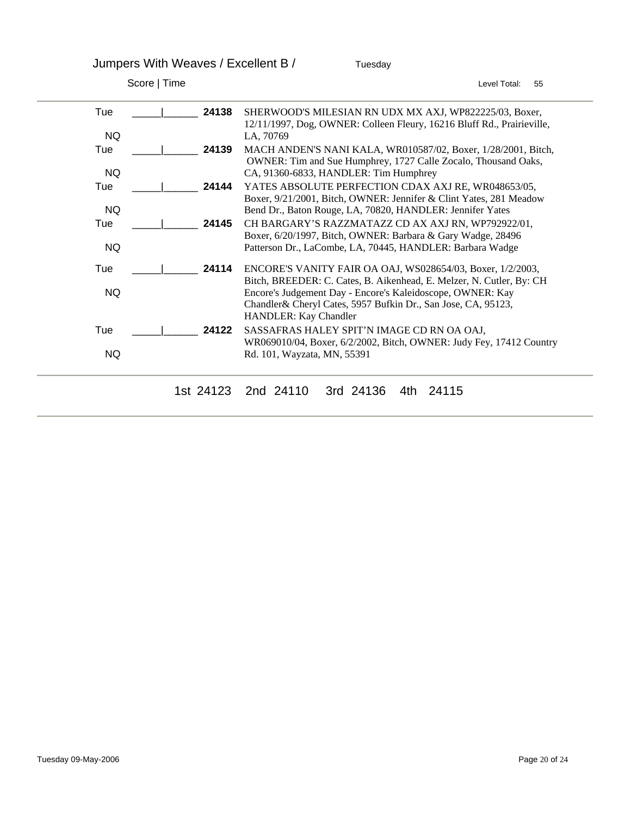Jumpers With Weaves / Excellent B / Tuesday

| Score   Time | Level Total:<br>55                                                                                                                                                                                                                   |
|--------------|--------------------------------------------------------------------------------------------------------------------------------------------------------------------------------------------------------------------------------------|
| 24138<br>Tue | SHERWOOD'S MILESIAN RN UDX MX AXJ, WP822225/03, Boxer,<br>12/11/1997, Dog, OWNER: Colleen Fleury, 16216 Bluff Rd., Prairieville,                                                                                                     |
| <b>NQ</b>    | LA, 70769                                                                                                                                                                                                                            |
| Tue<br>24139 | MACH ANDEN'S NANI KALA, WR010587/02, Boxer, 1/28/2001, Bitch,<br>OWNER: Tim and Sue Humphrey, 1727 Calle Zocalo, Thousand Oaks,                                                                                                      |
| NQ.          | CA, 91360-6833, HANDLER: Tim Humphrey                                                                                                                                                                                                |
| Tue<br>24144 | YATES ABSOLUTE PERFECTION CDAX AXJ RE, WR048653/05,<br>Boxer, 9/21/2001, Bitch, OWNER: Jennifer & Clint Yates, 281 Meadow                                                                                                            |
| <b>NQ</b>    | Bend Dr., Baton Rouge, LA, 70820, HANDLER: Jennifer Yates                                                                                                                                                                            |
| 24145<br>Tue | CH BARGARY'S RAZZMATAZZ CD AX AXJ RN, WP792922/01,                                                                                                                                                                                   |
| <b>NQ</b>    | Boxer, 6/20/1997, Bitch, OWNER: Barbara & Gary Wadge, 28496<br>Patterson Dr., LaCombe, LA, 70445, HANDLER: Barbara Wadge                                                                                                             |
| Tue<br>24114 | ENCORE'S VANITY FAIR OA OAJ, WS028654/03, Boxer, 1/2/2003,                                                                                                                                                                           |
| NQ.          | Bitch, BREEDER: C. Cates, B. Aikenhead, E. Melzer, N. Cutler, By: CH<br>Encore's Judgement Day - Encore's Kaleidoscope, OWNER: Kay<br>Chandler & Cheryl Cates, 5957 Bufkin Dr., San Jose, CA, 95123,<br><b>HANDLER: Kay Chandler</b> |
| Tue<br>24122 | SASSAFRAS HALEY SPIT'N IMAGE CD RN OA OAJ,                                                                                                                                                                                           |
| NQ.          | WR069010/04, Boxer, 6/2/2002, Bitch, OWNER: Judy Fey, 17412 Country<br>Rd. 101, Wayzata, MN, 55391                                                                                                                                   |
| 1st 24123    | 2nd 24110<br>3rd 24136<br>24115<br>4th                                                                                                                                                                                               |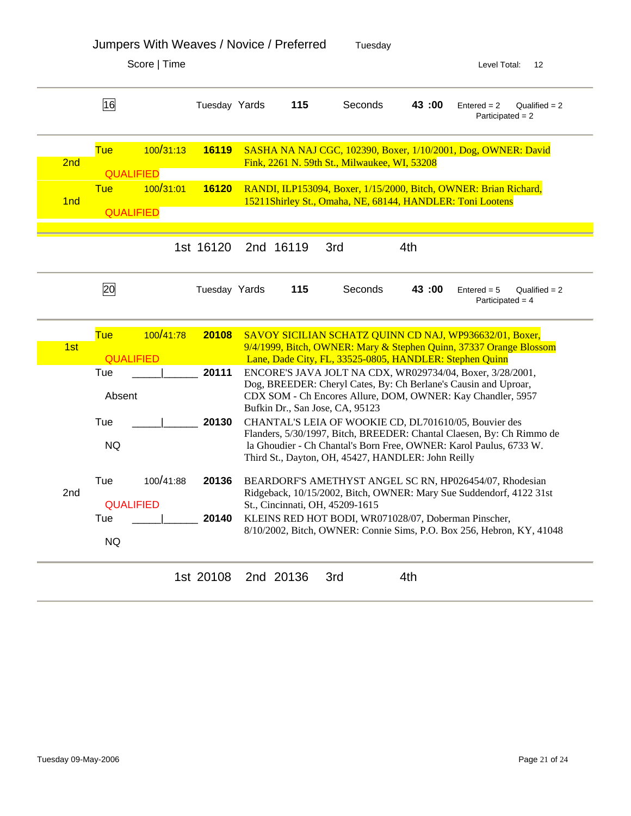|                 |                                | Score   Time |               |           |                                                                                                             |       | Level Total:<br>12                                                                                                                          |
|-----------------|--------------------------------|--------------|---------------|-----------|-------------------------------------------------------------------------------------------------------------|-------|---------------------------------------------------------------------------------------------------------------------------------------------|
|                 | 16                             |              | Tuesday Yards | 115       | Seconds                                                                                                     | 43:00 | $Entered = 2$<br>$Qualified = 2$<br>Participated = $2$                                                                                      |
| 2nd             | <b>Tue</b>                     | 100/31:13    | <b>16119</b>  |           | Fink, 2261 N. 59th St., Milwaukee, WI, 53208                                                                |       | SASHA NA NAJ CGC, 102390, Boxer, 1/10/2001, Dog, OWNER: David                                                                               |
| 1 <sub>nd</sub> | <b>QUALIFIED</b><br><b>Tue</b> | 100/31:01    | 16120         |           | 15211Shirley St., Omaha, NE, 68144, HANDLER: Toni Lootens                                                   |       | RANDI, ILP153094, Boxer, 1/15/2000, Bitch, OWNER: Brian Richard,                                                                            |
|                 | <b>QUALIFIED</b>               |              |               |           |                                                                                                             |       |                                                                                                                                             |
|                 |                                |              | 1st 16120     | 2nd 16119 | 3rd                                                                                                         | 4th   |                                                                                                                                             |
|                 | 20                             |              | Tuesday Yards | 115       | Seconds                                                                                                     | 43:00 | $Entered = 5$<br>Qualified $= 2$<br>Participated = $4$                                                                                      |
|                 | <b>Tue</b>                     | 100/41:78    | 20108         |           |                                                                                                             |       | SAVOY SICILIAN SCHATZ QUINN CD NAJ, WP936632/01, Boxer,                                                                                     |
| 1st             | <b>QUALIFIED</b>               |              |               |           | Lane, Dade City, FL, 33525-0805, HANDLER: Stephen Quinn                                                     |       | 9/4/1999, Bitch, OWNER: Mary & Stephen Quinn, 37337 Orange Blossom                                                                          |
|                 | Tue                            |              | 20111         |           |                                                                                                             |       | ENCORE'S JAVA JOLT NA CDX, WR029734/04, Boxer, 3/28/2001,                                                                                   |
|                 | Absent                         |              |               |           | Bufkin Dr., San Jose, CA, 95123                                                                             |       | Dog, BREEDER: Cheryl Cates, By: Ch Berlane's Causin and Uproar,<br>CDX SOM - Ch Encores Allure, DOM, OWNER: Kay Chandler, 5957              |
|                 | Tue<br><b>NQ</b>               |              | 20130         |           | CHANTAL'S LEIA OF WOOKIE CD, DL701610/05, Bouvier des<br>Third St., Dayton, OH, 45427, HANDLER: John Reilly |       | Flanders, 5/30/1997, Bitch, BREEDER: Chantal Claesen, By: Ch Rimmo de<br>la Ghoudier - Ch Chantal's Born Free, OWNER: Karol Paulus, 6733 W. |
| 2nd             | Tue<br><b>QUALIFIED</b>        | 100/41:88    | 20136         |           | St., Cincinnati, OH, 45209-1615                                                                             |       | BEARDORF'S AMETHYST ANGEL SC RN, HP026454/07, Rhodesian<br>Ridgeback, 10/15/2002, Bitch, OWNER: Mary Sue Suddendorf, 4122 31st              |
|                 | Tue<br><b>NQ</b>               |              | 20140         |           | KLEINS RED HOT BODI, WR071028/07, Doberman Pinscher,                                                        |       | 8/10/2002, Bitch, OWNER: Connie Sims, P.O. Box 256, Hebron, KY, 41048                                                                       |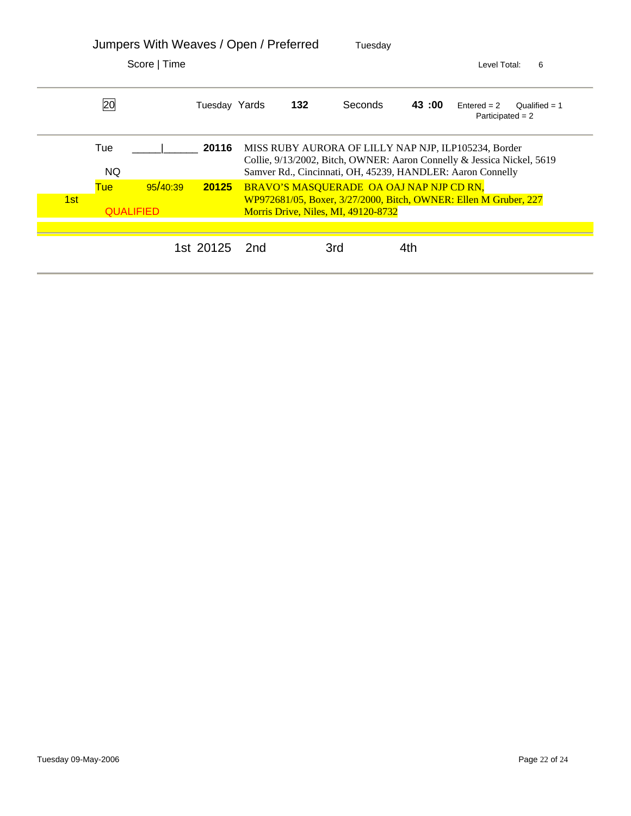|      |            | Jumpers With Weaves / Open / Preferred |               |     | Tuesday                                                                         |       |                                                                                                                                                                                              |
|------|------------|----------------------------------------|---------------|-----|---------------------------------------------------------------------------------|-------|----------------------------------------------------------------------------------------------------------------------------------------------------------------------------------------------|
|      |            | Score   Time                           |               |     |                                                                                 |       | 6<br>Level Total:                                                                                                                                                                            |
|      | 20         |                                        | Tuesday Yards | 132 | <b>Seconds</b>                                                                  | 43:00 | $Entered = 2$<br>Oualified $= 1$<br>Participated $= 2$                                                                                                                                       |
|      | Tue<br>NQ. |                                        | 20116         |     |                                                                                 |       | MISS RUBY AURORA OF LILLY NAP NJP, ILP105234, Border<br>Collie, 9/13/2002, Bitch, OWNER: Aaron Connelly & Jessica Nickel, 5619<br>Samver Rd., Cincinnati, OH, 45239, HANDLER: Aaron Connelly |
| 1st: | <b>Tue</b> | 95/40:39<br><b>QUALIFIED</b>           | 20125         |     | BRAVO'S MASQUERADE OA OAJ NAP NJP CD RN,<br>Morris Drive, Niles, MI, 49120-8732 |       | WP972681/05, Boxer, 3/27/2000, Bitch, OWNER: Ellen M Gruber, 227                                                                                                                             |
|      |            |                                        |               |     |                                                                                 |       |                                                                                                                                                                                              |
|      |            |                                        | 1st 20125 2nd |     | 3rd                                                                             | 4th   |                                                                                                                                                                                              |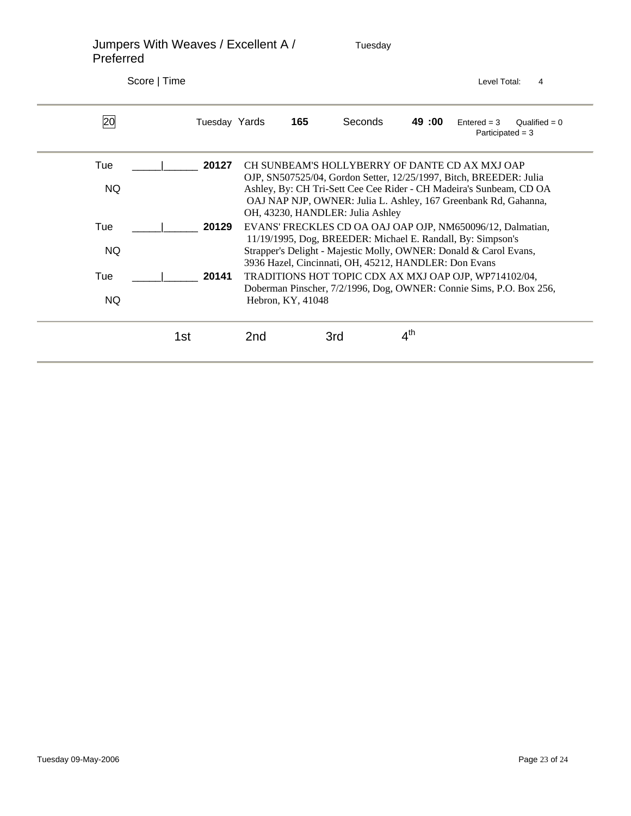Jumpers With Weaves / Excellent A / Tuesday Preferred Score | Time Level Total: 4 20 Tuesday Yards **165** Seconds **49 :00** Entered = 3 Qualified = 0 Participated = 3 Tue \_\_\_\_\_|\_\_\_\_\_\_ **20127** CH SUNBEAM'S HOLLYBERRY OF DANTE CD AX MXJ OAP OJP, SN507525/04, Gordon Setter, 12/25/1997, Bitch, BREEDER: Julia NQ Ashley, By: CH Tri-Sett Cee Cee Rider - CH Madeira's Sunbeam, CD OA OAJ NAP NJP, OWNER: Julia L. Ashley, 167 Greenbank Rd, Gahanna, OH, 43230, HANDLER: Julia Ashley Tue \_\_\_\_\_|\_\_\_\_\_\_ **20129** EVANS' FRECKLES CD OA OAJ OAP OJP, NM650096/12, Dalmatian, 11/19/1995, Dog, BREEDER: Michael E. Randall, By: Simpson's NQ Strapper's Delight - Majestic Molly, OWNER: Donald & Carol Evans, 3936 Hazel, Cincinnati, OH, 45212, HANDLER: Don Evans Tue \_\_\_\_\_|\_\_\_\_\_\_ **20141** TRADITIONS HOT TOPIC CDX AX MXJ OAP OJP, WP714102/04, Doberman Pinscher, 7/2/1996, Dog, OWNER: Connie Sims, P.O. Box 256, NQ Hebron, KY, 41048 1st 2nd 3rd 4<sup>th</sup>